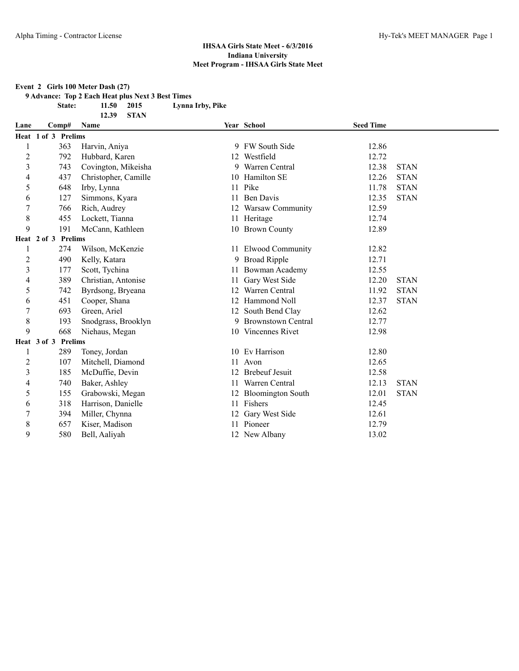**Event 2 Girls 100 Meter Dash (27)**

**9 Advance: Top 2 Each Heat plus Next 3 Best Times**

**12.39 STAN**

**State: 11.50 2015 Lynna Irby, Pike**

| Lane           | Comp#               | Name                 |    | Year School               | <b>Seed Time</b> |             |  |
|----------------|---------------------|----------------------|----|---------------------------|------------------|-------------|--|
|                | Heat 1 of 3 Prelims |                      |    |                           |                  |             |  |
|                | 363                 | Harvin, Aniya        |    | 9 FW South Side           | 12.86            |             |  |
| $\overline{c}$ | 792                 | Hubbard, Karen       |    | 12 Westfield              | 12.72            |             |  |
| 3              | 743                 | Covington, Mikeisha  | 9. | Warren Central            | 12.38            | <b>STAN</b> |  |
| $\overline{4}$ | 437                 | Christopher, Camille |    | 10 Hamilton SE            | 12.26            | <b>STAN</b> |  |
| 5              | 648                 | Irby, Lynna          | 11 | Pike                      | 11.78            | <b>STAN</b> |  |
| 6              | 127                 | Simmons, Kyara       | 11 | Ben Davis                 | 12.35            | <b>STAN</b> |  |
| 7              | 766                 | Rich, Audrey         |    | 12 Warsaw Community       | 12.59            |             |  |
| 8              | 455                 | Lockett, Tianna      | 11 | Heritage                  | 12.74            |             |  |
| 9              | 191                 | McCann, Kathleen     |    | 10 Brown County           | 12.89            |             |  |
|                | Heat 2 of 3 Prelims |                      |    |                           |                  |             |  |
| 1              | 274                 | Wilson, McKenzie     |    | 11 Elwood Community       | 12.82            |             |  |
| $\overline{c}$ | 490                 | Kelly, Katara        | 9  | <b>Broad Ripple</b>       | 12.71            |             |  |
| 3              | 177                 | Scott, Tychina       |    | Bowman Academy            | 12.55            |             |  |
| 4              | 389                 | Christian, Antonise  | 11 | Gary West Side            | 12.20            | <b>STAN</b> |  |
| 5              | 742                 | Byrdsong, Bryeana    |    | Warren Central            | 11.92            | <b>STAN</b> |  |
| 6              | 451                 | Cooper, Shana        |    | 12 Hammond Noll           | 12.37            | <b>STAN</b> |  |
| 7              | 693                 | Green, Ariel         |    | 12 South Bend Clay        | 12.62            |             |  |
| 8              | 193                 | Snodgrass, Brooklyn  | 9. | <b>Brownstown Central</b> | 12.77            |             |  |
| 9              | 668                 | Niehaus, Megan       |    | 10 Vincennes Rivet        | 12.98            |             |  |
|                | Heat 3 of 3 Prelims |                      |    |                           |                  |             |  |
|                | 289                 | Toney, Jordan        |    | 10 Ev Harrison            | 12.80            |             |  |
| $\overline{c}$ | 107                 | Mitchell, Diamond    | 11 | Avon                      | 12.65            |             |  |
| 3              | 185                 | McDuffie, Devin      |    | <b>Brebeuf Jesuit</b>     | 12.58            |             |  |
| 4              | 740                 | Baker, Ashley        | 11 | Warren Central            | 12.13            | <b>STAN</b> |  |
| 5              | 155                 | Grabowski, Megan     |    | 12 Bloomington South      | 12.01            | <b>STAN</b> |  |
| 6              | 318                 | Harrison, Danielle   | 11 | Fishers                   | 12.45            |             |  |
| 7              | 394                 | Miller, Chynna       |    | 12 Gary West Side         | 12.61            |             |  |
| 8              | 657                 | Kiser, Madison       |    | 11 Pioneer                | 12.79            |             |  |
| 9              | 580                 | Bell, Aaliyah        |    | 12 New Albany             | 13.02            |             |  |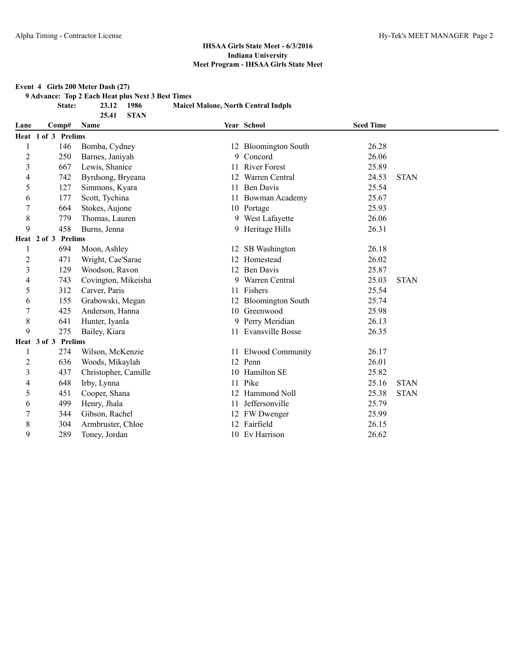**Event 4 Girls 200 Meter Dash (27)**

**9 Advance: Top 2 Each Heat plus Next 3 Best Times**

**25.41 STAN**

**State: 23.12 1986 Maicel Malone, North Central Indpls**

| Lane             | Comp#               | <b>Name</b>          |    | Year School          | <b>Seed Time</b> |             |
|------------------|---------------------|----------------------|----|----------------------|------------------|-------------|
|                  | Heat 1 of 3 Prelims |                      |    |                      |                  |             |
| 1                | 146                 | Bomba, Cydney        |    | 12 Bloomington South | 26.28            |             |
| $\overline{c}$   | 250                 | Barnes, Janiyah      | 9. | Concord              | 26.06            |             |
| 3                | 667                 | Lewis, Shanice       | 11 | <b>River Forest</b>  | 25.89            |             |
| 4                | 742                 | Byrdsong, Bryeana    | 12 | Warren Central       | 24.53            | <b>STAN</b> |
| 5                | 127                 | Simmons, Kyara       | 11 | Ben Davis            | 25.54            |             |
| 6                | 177                 | Scott, Tychina       |    | 11 Bowman Academy    | 25.67            |             |
| 7                | 664                 | Stokes, Aujone       |    | 10 Portage           | 25.93            |             |
| 8                | 779                 | Thomas, Lauren       |    | 9 West Lafayette     | 26.06            |             |
| 9                | 458                 | Burns, Jenna         |    | 9 Heritage Hills     | 26.31            |             |
|                  | Heat 2 of 3 Prelims |                      |    |                      |                  |             |
| 1                | 694                 | Moon, Ashley         |    | 12 SB Washington     | 26.18            |             |
| $\overline{c}$   | 471                 | Wright, Cae'Sarae    | 12 | Homestead            | 26.02            |             |
| 3                | 129                 | Woodson, Ravon       | 12 | <b>Ben Davis</b>     | 25.87            |             |
| 4                | 743                 | Covington, Mikeisha  | 9. | Warren Central       | 25.03            | <b>STAN</b> |
| 5                | 312                 | Carver, Paris        |    | 11 Fishers           | 25.54            |             |
| 6                | 155                 | Grabowski, Megan     |    | 12 Bloomington South | 25.74            |             |
| $\boldsymbol{7}$ | 425                 | Anderson, Hanna      |    | 10 Greenwood         | 25.98            |             |
| 8                | 641                 | Hunter, Iyanla       |    | 9 Perry Meridian     | 26.13            |             |
| 9                | 275                 | Bailey, Kiara        |    | 11 Evansville Bosse  | 26.35            |             |
|                  | Heat 3 of 3 Prelims |                      |    |                      |                  |             |
|                  | 274                 | Wilson, McKenzie     |    | 11 Elwood Community  | 26.17            |             |
| 2                | 636                 | Woods, Mikaylah      |    | 12 Penn              | 26.01            |             |
| 3                | 437                 | Christopher, Camille |    | 10 Hamilton SE       | 25.82            |             |
| 4                | 648                 | Irby, Lynna          | 11 | Pike                 | 25.16            | <b>STAN</b> |
| 5                | 451                 | Cooper, Shana        | 12 | Hammond Noll         | 25.38            | <b>STAN</b> |
| 6                | 499                 | Henry, Jhala         | 11 | Jeffersonville       | 25.79            |             |
| 7                | 344                 | Gibson, Rachel       |    | 12 FW Dwenger        | 25.99            |             |
| 8                | 304                 | Armbruster, Chloe    |    | 12 Fairfield         | 26.15            |             |
| 9                | 289                 | Toney, Jordan        |    | 10 Ev Harrison       | 26.62            |             |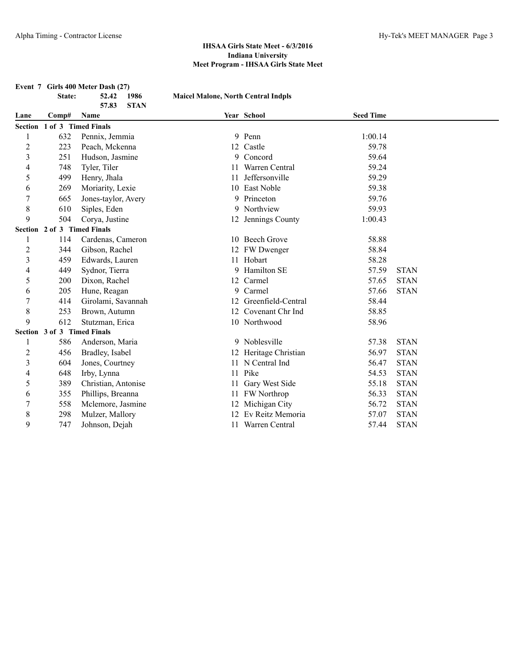|                |        | Event 7 Girls 400 Meter Dash (27) |                                            |                       |                  |             |
|----------------|--------|-----------------------------------|--------------------------------------------|-----------------------|------------------|-------------|
|                | State: | 52.42<br>1986                     | <b>Maicel Malone, North Central Indpls</b> |                       |                  |             |
|                |        | 57.83<br><b>STAN</b>              |                                            |                       |                  |             |
| Lane           | Comp#  | Name                              |                                            | Year School           | <b>Seed Time</b> |             |
| <b>Section</b> |        | 1 of 3 Timed Finals               |                                            |                       |                  |             |
| 1              | 632    | Pennix, Jemmia                    |                                            | 9 Penn                | 1:00.14          |             |
| $\overline{c}$ | 223    | Peach, Mckenna                    | 12                                         | Castle                | 59.78            |             |
| $\mathfrak{Z}$ | 251    | Hudson, Jasmine                   |                                            | 9 Concord             | 59.64            |             |
| 4              | 748    | Tyler, Tiler                      | 11                                         | Warren Central        | 59.24            |             |
| 5              | 499    | Henry, Jhala                      | 11                                         | Jeffersonville        | 59.29            |             |
| 6              | 269    | Moriarity, Lexie                  | 10                                         | East Noble            | 59.38            |             |
| 7              | 665    | Jones-taylor, Avery               |                                            | 9 Princeton           | 59.76            |             |
| 8              | 610    | Siples, Eden                      | 9                                          | Northview             | 59.93            |             |
| 9              | 504    | Corya, Justine                    |                                            | 12 Jennings County    | 1:00.43          |             |
|                |        | Section 2 of 3 Timed Finals       |                                            |                       |                  |             |
| 1              | 114    | Cardenas, Cameron                 |                                            | 10 Beech Grove        | 58.88            |             |
| $\overline{2}$ | 344    | Gibson, Rachel                    |                                            | 12 FW Dwenger         | 58.84            |             |
| $\overline{3}$ | 459    | Edwards, Lauren                   |                                            | 11 Hobart             | 58.28            |             |
| $\overline{4}$ | 449    | Sydnor, Tierra                    | 9                                          | Hamilton SE           | 57.59            | <b>STAN</b> |
| 5              | 200    | Dixon, Rachel                     | 12                                         | Carmel                | 57.65            | <b>STAN</b> |
| 6              | 205    | Hune, Reagan                      |                                            | 9 Carmel              | 57.66            | <b>STAN</b> |
| 7              | 414    | Girolami, Savannah                | 12                                         | Greenfield-Central    | 58.44            |             |
| $\,$ 8 $\,$    | 253    | Brown, Autumn                     |                                            | 12 Covenant Chr Ind   | 58.85            |             |
| 9              | 612    | Stutzman, Erica                   |                                            | 10 Northwood          | 58.96            |             |
|                |        | Section 3 of 3 Timed Finals       |                                            |                       |                  |             |
| 1              | 586    | Anderson, Maria                   |                                            | 9 Noblesville         | 57.38            | <b>STAN</b> |
| $\overline{c}$ | 456    | Bradley, Isabel                   |                                            | 12 Heritage Christian | 56.97            | <b>STAN</b> |
| 3              | 604    | Jones, Courtney                   | 11                                         | N Central Ind         | 56.47            | <b>STAN</b> |
| 4              | 648    | Irby, Lynna                       | 11                                         | Pike                  | 54.53            | <b>STAN</b> |
| 5              | 389    | Christian, Antonise               | 11                                         | Gary West Side        | 55.18            | <b>STAN</b> |
| 6              | 355    | Phillips, Breanna                 |                                            | 11 FW Northrop        | 56.33            | <b>STAN</b> |
| 7              | 558    | Mclemore, Jasmine                 | 12                                         | Michigan City         | 56.72            | <b>STAN</b> |
| $\,$ 8 $\,$    | 298    | Mulzer, Mallory                   | 12                                         | Ev Reitz Memoria      | 57.07            | <b>STAN</b> |
| 9              | 747    | Johnson, Dejah                    |                                            | 11 Warren Central     | 57.44            | <b>STAN</b> |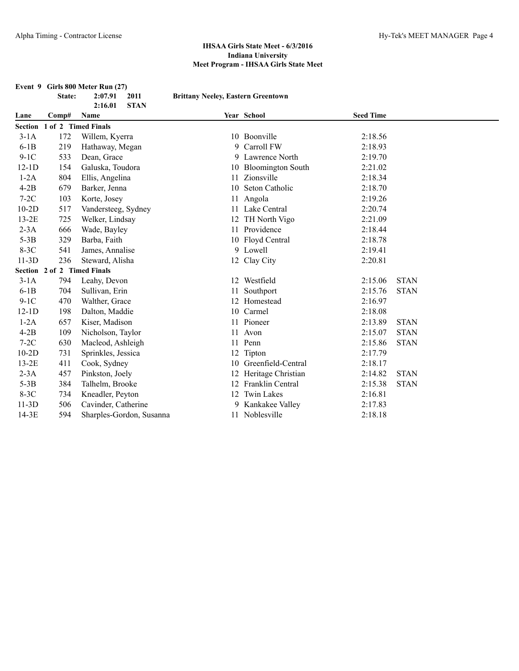**Event 9 Girls 800 Meter Run (27) State: 2:07.91 2011 Brittany Neeley, Eastern Greentown 2:16.01 STAN Lane Comp# Name Year School Seed Time Section 1 of 2 Timed Finals** 3-1A 172 Willem, Kyerra 10 Boonville 2:18.56

| $6-1B$  | 219                         | Hathaway, Megan          | 9  | Carroll FW            | 2:18.93 |             |  |
|---------|-----------------------------|--------------------------|----|-----------------------|---------|-------------|--|
| $9-1C$  | 533                         | Dean, Grace              |    | 9 Lawrence North      | 2:19.70 |             |  |
| $12-1D$ | 154                         | Galuska, Toudora         |    | 10 Bloomington South  | 2:21.02 |             |  |
| $1-2A$  | 804                         | Ellis, Angelina          | 11 | Zionsville            | 2:18.34 |             |  |
| $4-2B$  | 679                         | Barker, Jenna            | 10 | Seton Catholic        | 2:18.70 |             |  |
| $7-2C$  | 103                         | Korte, Josey             | 11 | Angola                | 2:19.26 |             |  |
| $10-2D$ | 517                         | Vandersteeg, Sydney      |    | 11 Lake Central       | 2:20.74 |             |  |
| $13-2E$ | 725                         | Welker, Lindsay          | 12 | TH North Vigo         | 2:21.09 |             |  |
| $2-3A$  | 666                         | Wade, Bayley             |    | 11 Providence         | 2:18.44 |             |  |
| $5-3B$  | 329                         | Barba, Faith             |    | 10 Floyd Central      | 2:18.78 |             |  |
| $8-3C$  | 541                         | James, Annalise          |    | 9 Lowell              | 2:19.41 |             |  |
| $11-3D$ | 236                         | Steward, Alisha          |    | 12 Clay City          | 2:20.81 |             |  |
|         | Section 2 of 2 Timed Finals |                          |    |                       |         |             |  |
| $3-1A$  | 794                         | Leahy, Devon             | 12 | Westfield             | 2:15.06 | <b>STAN</b> |  |
| $6-1B$  | 704                         | Sullivan, Erin           | 11 | Southport             | 2:15.76 | <b>STAN</b> |  |
| $9-1C$  | 470                         | Walther, Grace           |    | 12 Homestead          | 2:16.97 |             |  |
| $12-1D$ | 198                         | Dalton, Maddie           |    | 10 Carmel             | 2:18.08 |             |  |
| $1-2A$  | 657                         | Kiser, Madison           |    | 11 Pioneer            | 2:13.89 | <b>STAN</b> |  |
| $4-2B$  | 109                         | Nicholson, Taylor        |    | 11 Avon               | 2:15.07 | <b>STAN</b> |  |
| $7-2C$  | 630                         | Macleod, Ashleigh        | 11 | Penn                  | 2:15.86 | <b>STAN</b> |  |
| $10-2D$ | 731                         | Sprinkles, Jessica       |    | 12 Tipton             | 2:17.79 |             |  |
| $13-2E$ | 411                         | Cook, Sydney             | 10 | Greenfield-Central    | 2:18.17 |             |  |
| $2-3A$  | 457                         | Pinkston, Joely          |    | 12 Heritage Christian | 2:14.82 | <b>STAN</b> |  |
| $5-3B$  | 384                         | Talhelm, Brooke          |    | Franklin Central      | 2:15.38 | <b>STAN</b> |  |
| $8-3C$  | 734                         | Kneadler, Peyton         |    | 12 Twin Lakes         | 2:16.81 |             |  |
| $11-3D$ | 506                         | Cavinder, Catherine      |    | 9 Kankakee Valley     | 2:17.83 |             |  |
| $14-3E$ | 594                         | Sharples-Gordon, Susanna |    | 11 Noblesville        | 2:18.18 |             |  |
|         |                             |                          |    |                       |         |             |  |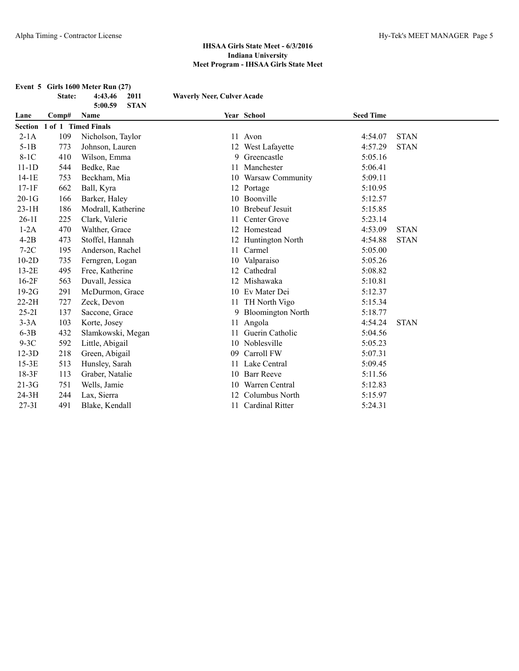|           | State:                      | 2011<br>4:43.46<br>5:00.59<br><b>STAN</b> | <b>Waverly Neer, Culver Acade</b> |                          |                  |             |  |
|-----------|-----------------------------|-------------------------------------------|-----------------------------------|--------------------------|------------------|-------------|--|
| Lane      | Comp#                       | Name                                      |                                   | Year School              | <b>Seed Time</b> |             |  |
|           | Section 1 of 1 Timed Finals |                                           |                                   |                          |                  |             |  |
| $2-1A$    | 109                         | Nicholson, Taylor                         |                                   | 11 Avon                  | 4:54.07          | <b>STAN</b> |  |
| $5-1B$    | 773                         | Johnson, Lauren                           |                                   | 12 West Lafayette        | 4:57.29          | <b>STAN</b> |  |
| $8-1C$    | 410                         | Wilson, Emma                              | 9                                 | Greencastle              | 5:05.16          |             |  |
| $11-1D$   | 544                         | Bedke, Rae                                | 11                                | Manchester               | 5:06.41          |             |  |
| $14-1E$   | 753                         | Beckham, Mia                              | 10                                | Warsaw Community         | 5:09.11          |             |  |
| $17-1F$   | 662                         | Ball, Kyra                                |                                   | 12 Portage               | 5:10.95          |             |  |
| $20-1G$   | 166                         | Barker, Haley                             |                                   | 10 Boonville             | 5:12.57          |             |  |
| $23-1H$   | 186                         | Modrall, Katherine                        | 10                                | <b>Brebeuf Jesuit</b>    | 5:15.85          |             |  |
| $26-11$   | 225                         | Clark, Valerie                            | 11                                | Center Grove             | 5:23.14          |             |  |
| $1-2A$    | 470                         | Walther, Grace                            | 12                                | Homestead                | 4:53.09          | <b>STAN</b> |  |
| $4-2B$    | 473                         | Stoffel, Hannah                           | 12                                | Huntington North         | 4:54.88          | <b>STAN</b> |  |
| $7-2C$    | 195                         | Anderson, Rachel                          | 11                                | Carmel                   | 5:05.00          |             |  |
| $10-2D$   | 735                         | Ferngren, Logan                           | 10                                | Valparaiso               | 5:05.26          |             |  |
| $13-2E$   | 495                         | Free, Katherine                           | 12                                | Cathedral                | 5:08.82          |             |  |
| $16-2F$   | 563                         | Duvall, Jessica                           | 12                                | Mishawaka                | 5:10.81          |             |  |
| $19-2G$   | 291                         | McDurmon, Grace                           |                                   | 10 Ev Mater Dei          | 5:12.37          |             |  |
| $22-2H$   | 727                         | Zeck, Devon                               | 11                                | TH North Vigo            | 5:15.34          |             |  |
| $25 - 21$ | 137                         | Saccone, Grace                            | 9                                 | <b>Bloomington North</b> | 5:18.77          |             |  |
| $3-3A$    | 103                         | Korte, Josey                              | 11                                | Angola                   | 4:54.24          | <b>STAN</b> |  |
| $6-3B$    | 432                         | Slamkowski, Megan                         | 11                                | Guerin Catholic          | 5:04.56          |             |  |
| $9-3C$    | 592                         | Little, Abigail                           |                                   | 10 Noblesville           | 5:05.23          |             |  |
| $12-3D$   | 218                         | Green, Abigail                            | 09                                | Carroll FW               | 5:07.31          |             |  |
| $15-3E$   | 513                         | Hunsley, Sarah                            | 11                                | Lake Central             | 5:09.45          |             |  |
| $18-3F$   | 113                         | Graber, Natalie                           | 10                                | <b>Barr Reeve</b>        | 5:11.56          |             |  |
| $21-3G$   | 751                         | Wells, Jamie                              | 10                                | Warren Central           | 5:12.83          |             |  |
| 24-3H     | 244                         | Lax, Sierra                               | 12                                | Columbus North           | 5:15.97          |             |  |
| $27 - 31$ | 491                         | Blake, Kendall                            | 11                                | <b>Cardinal Ritter</b>   | 5:24.31          |             |  |

# **Event 5 Girls 1600 Meter Run (27)**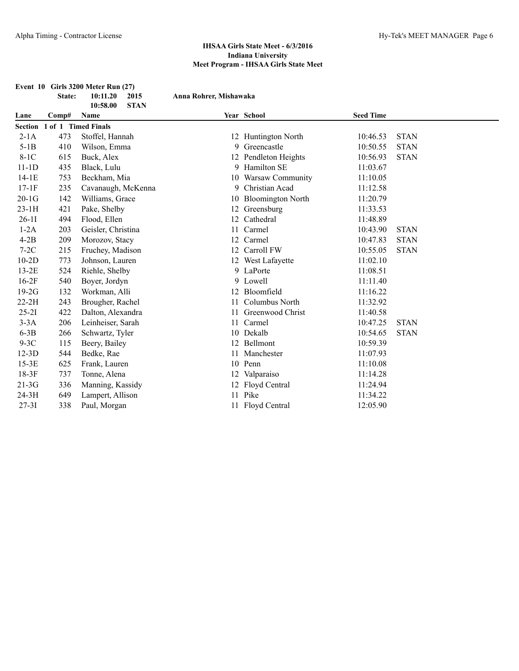|           |                             | Event 10 Girls 3200 Meter Run (27) |                        |                          |                  |             |
|-----------|-----------------------------|------------------------------------|------------------------|--------------------------|------------------|-------------|
|           | State:                      | 10:11.20<br>2015                   | Anna Rohrer, Mishawaka |                          |                  |             |
|           |                             | 10:58.00<br><b>STAN</b>            |                        |                          |                  |             |
| Lane      | Comp#                       | Name                               |                        | Year School              | <b>Seed Time</b> |             |
|           | Section 1 of 1 Timed Finals |                                    |                        |                          |                  |             |
| $2-1A$    | 473                         | Stoffel, Hannah                    |                        | 12 Huntington North      | 10:46.53         | <b>STAN</b> |
| $5-1B$    | 410                         | Wilson, Emma                       | 9                      | Greencastle              | 10:50.55         | <b>STAN</b> |
| $8-1C$    | 615                         | Buck, Alex                         |                        | 12 Pendleton Heights     | 10:56.93         | <b>STAN</b> |
| $11-1D$   | 435                         | Black, Lulu                        |                        | 9 Hamilton SE            | 11:03.67         |             |
| $14-1E$   | 753                         | Beckham, Mia                       |                        | 10 Warsaw Community      | 11:10.05         |             |
| $17-1F$   | 235                         | Cavanaugh, McKenna                 | 9                      | Christian Acad           | 11:12.58         |             |
| $20-1G$   | 142                         | Williams, Grace                    | 10                     | <b>Bloomington North</b> | 11:20.79         |             |
| $23-1H$   | 421                         | Pake, Shelby                       |                        | 12 Greensburg            | 11:33.53         |             |
| $26-11$   | 494                         | Flood, Ellen                       |                        | 12 Cathedral             | 11:48.89         |             |
| $1-2A$    | 203                         | Geisler, Christina                 | 11                     | Carmel                   | 10:43.90         | <b>STAN</b> |
| $4-2B$    | 209                         | Morozov, Stacy                     |                        | 12 Carmel                | 10:47.83         | <b>STAN</b> |
| $7-2C$    | 215                         | Fruchey, Madison                   |                        | 12 Carroll FW            | 10:55.05         | <b>STAN</b> |
| $10-2D$   | 773                         | Johnson, Lauren                    |                        | 12 West Lafayette        | 11:02.10         |             |
| $13-2E$   | 524                         | Riehle, Shelby                     |                        | 9 LaPorte                | 11:08.51         |             |
| $16-2F$   | 540                         | Boyer, Jordyn                      |                        | 9 Lowell                 | 11:11.40         |             |
| $19-2G$   | 132                         | Workman, Alli                      |                        | 12 Bloomfield            | 11:16.22         |             |
| $22-2H$   | 243                         | Brougher, Rachel                   |                        | 11 Columbus North        | 11:32.92         |             |
| $25-21$   | 422                         | Dalton, Alexandra                  | 11                     | Greenwood Christ         | 11:40.58         |             |
| $3-3A$    | 206                         | Leinheiser, Sarah                  |                        | 11 Carmel                | 10:47.25         | <b>STAN</b> |
| $6-3B$    | 266                         | Schwartz, Tyler                    |                        | 10 Dekalb                | 10:54.65         | <b>STAN</b> |
| $9-3C$    | 115                         | Beery, Bailey                      |                        | 12 Bellmont              | 10:59.39         |             |
| $12-3D$   | 544                         | Bedke, Rae                         | 11                     | Manchester               | 11:07.93         |             |
| 15-3E     | 625                         | Frank, Lauren                      |                        | 10 Penn                  | 11:10.08         |             |
| $18-3F$   | 737                         | Tonne, Alena                       |                        | 12 Valparaiso            | 11:14.28         |             |
| $21-3G$   | 336                         | Manning, Kassidy                   |                        | 12 Floyd Central         | 11:24.94         |             |
| $24-3H$   | 649                         | Lampert, Allison                   |                        | 11 Pike                  | 11:34.22         |             |
| $27 - 31$ | 338                         | Paul, Morgan                       |                        | 11 Floyd Central         | 12:05.90         |             |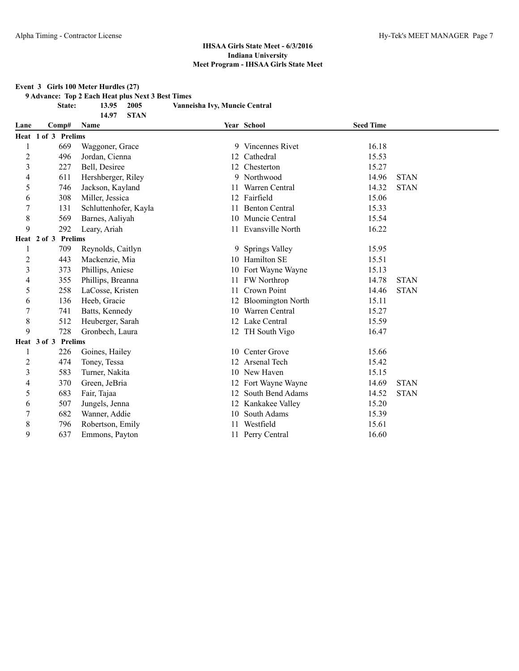#### **Event 3 Girls 100 Meter Hurdles (27)**

**9 Advance: Top 2 Each Heat plus Next 3 Best Times**

**14.97 STAN**

**State: 13.95 2005 Vanneisha Ivy, Muncie Central**

| Lane                    | Comp#               |     | <b>Name</b>           |    | Year School           | <b>Seed Time</b> |             |
|-------------------------|---------------------|-----|-----------------------|----|-----------------------|------------------|-------------|
|                         | Heat 1 of 3 Prelims |     |                       |    |                       |                  |             |
| 1                       |                     | 669 | Waggoner, Grace       |    | 9 Vincennes Rivet     | 16.18            |             |
| $\overline{c}$          |                     | 496 | Jordan, Cienna        |    | 12 Cathedral          | 15.53            |             |
| 3                       |                     | 227 | Bell, Desiree         |    | 12 Chesterton         | 15.27            |             |
| 4                       |                     | 611 | Hershberger, Riley    |    | 9 Northwood           | 14.96            | <b>STAN</b> |
| 5                       |                     | 746 | Jackson, Kayland      | 11 | Warren Central        | 14.32            | <b>STAN</b> |
| 6                       |                     | 308 | Miller, Jessica       |    | 12 Fairfield          | 15.06            |             |
| $\overline{7}$          |                     | 131 | Schluttenhofer, Kayla | 11 | <b>Benton Central</b> | 15.33            |             |
| 8                       |                     | 569 | Barnes, Aaliyah       |    | 10 Muncie Central     | 15.54            |             |
| 9                       |                     | 292 | Leary, Ariah          |    | 11 Evansville North   | 16.22            |             |
|                         | Heat 2 of 3 Prelims |     |                       |    |                       |                  |             |
| 1                       |                     | 709 | Reynolds, Caitlyn     | 9. | <b>Springs Valley</b> | 15.95            |             |
| $\overline{c}$          |                     | 443 | Mackenzie, Mia        |    | 10 Hamilton SE        | 15.51            |             |
| 3                       |                     | 373 | Phillips, Aniese      |    | 10 Fort Wayne Wayne   | 15.13            |             |
| 4                       |                     | 355 | Phillips, Breanna     |    | 11 FW Northrop        | 14.78            | <b>STAN</b> |
| 5                       |                     | 258 | LaCosse, Kristen      | 11 | Crown Point           | 14.46            | <b>STAN</b> |
| 6                       |                     | 136 | Heeb, Gracie          |    | 12 Bloomington North  | 15.11            |             |
| 7                       |                     | 741 | Batts, Kennedy        | 10 | Warren Central        | 15.27            |             |
| 8                       |                     | 512 | Heuberger, Sarah      |    | 12 Lake Central       | 15.59            |             |
| 9                       |                     | 728 | Gronbech, Laura       |    | 12 TH South Vigo      | 16.47            |             |
|                         | Heat 3 of 3 Prelims |     |                       |    |                       |                  |             |
|                         |                     | 226 | Goines, Hailey        |    | 10 Center Grove       | 15.66            |             |
| $\overline{c}$          |                     | 474 | Toney, Tessa          |    | 12 Arsenal Tech       | 15.42            |             |
| $\overline{\mathbf{3}}$ |                     | 583 | Turner, Nakita        |    | 10 New Haven          | 15.15            |             |
| 4                       |                     | 370 | Green, JeBria         |    | 12 Fort Wayne Wayne   | 14.69            | <b>STAN</b> |
| 5                       |                     | 683 | Fair, Tajaa           |    | 12 South Bend Adams   | 14.52            | <b>STAN</b> |
| 6                       |                     | 507 | Jungels, Jenna        |    | 12 Kankakee Valley    | 15.20            |             |
| 7                       |                     | 682 | Wanner, Addie         |    | 10 South Adams        | 15.39            |             |
| 8                       |                     | 796 | Robertson, Emily      |    | Westfield             | 15.61            |             |
| 9                       |                     | 637 | Emmons, Payton        |    | 11 Perry Central      | 16.60            |             |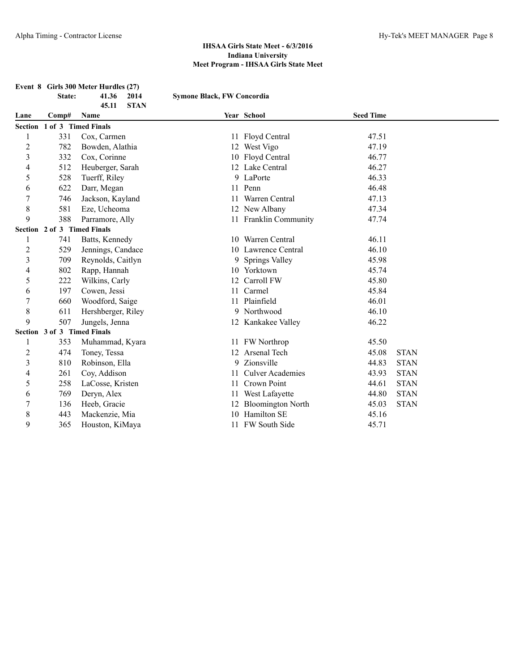|                |                             | Event 8 Girls 300 Meter Hurdles (27) |                                   |                         |                  |             |
|----------------|-----------------------------|--------------------------------------|-----------------------------------|-------------------------|------------------|-------------|
|                | State:                      | 41.36<br>2014                        | <b>Symone Black, FW Concordia</b> |                         |                  |             |
|                |                             | 45.11<br><b>STAN</b>                 |                                   |                         |                  |             |
| Lane           | Comp#                       | Name                                 |                                   | Year School             | <b>Seed Time</b> |             |
|                | Section 1 of 3 Timed Finals |                                      |                                   |                         |                  |             |
| $\mathbf{1}$   | 331                         | Cox, Carmen                          |                                   | 11 Floyd Central        | 47.51            |             |
| $\overline{c}$ | 782                         | Bowden, Alathia                      |                                   | 12 West Vigo            | 47.19            |             |
| 3              | 332                         | Cox, Corinne                         |                                   | 10 Floyd Central        | 46.77            |             |
| 4              | 512                         | Heuberger, Sarah                     |                                   | 12 Lake Central         | 46.27            |             |
| 5              | 528                         | Tuerff, Riley                        |                                   | 9 LaPorte               | 46.33            |             |
| 6              | 622                         | Darr, Megan                          |                                   | 11 Penn                 | 46.48            |             |
| 7              | 746                         | Jackson, Kayland                     |                                   | 11 Warren Central       | 47.13            |             |
| $\,$ 8 $\,$    | 581                         | Eze, Ucheoma                         |                                   | 12 New Albany           | 47.34            |             |
| 9              | 388                         | Parramore, Ally                      |                                   | 11 Franklin Community   | 47.74            |             |
|                |                             | Section 2 of 3 Timed Finals          |                                   |                         |                  |             |
| 1              | 741                         | Batts, Kennedy                       |                                   | 10 Warren Central       | 46.11            |             |
| $\overline{c}$ | 529                         | Jennings, Candace                    |                                   | 10 Lawrence Central     | 46.10            |             |
| 3              | 709                         | Reynolds, Caitlyn                    |                                   | 9 Springs Valley        | 45.98            |             |
| 4              | 802                         | Rapp, Hannah                         |                                   | 10 Yorktown             | 45.74            |             |
| 5              | 222                         | Wilkins, Carly                       |                                   | 12 Carroll FW           | 45.80            |             |
| 6              | 197                         | Cowen, Jessi                         |                                   | 11 Carmel               | 45.84            |             |
| $\overline{7}$ | 660                         | Woodford, Saige                      |                                   | 11 Plainfield           | 46.01            |             |
| $\,$ $\,$      | 611                         | Hershberger, Riley                   |                                   | 9 Northwood             | 46.10            |             |
| 9              | 507                         | Jungels, Jenna                       |                                   | 12 Kankakee Valley      | 46.22            |             |
|                | Section 3 of 3 Timed Finals |                                      |                                   |                         |                  |             |
| 1              | 353                         | Muhammad, Kyara                      |                                   | 11 FW Northrop          | 45.50            |             |
| $\overline{c}$ | 474                         | Toney, Tessa                         |                                   | 12 Arsenal Tech         | 45.08            | <b>STAN</b> |
| 3              | 810                         | Robinson, Ella                       |                                   | 9 Zionsville            | 44.83            | <b>STAN</b> |
| 4              | 261                         | Coy, Addison                         | 11                                | <b>Culver Academies</b> | 43.93            | <b>STAN</b> |
| 5              | 258                         | LaCosse, Kristen                     |                                   | 11 Crown Point          | 44.61            | <b>STAN</b> |
| 6              | 769                         | Deryn, Alex                          | 11                                | West Lafayette          | 44.80            | <b>STAN</b> |
| 7              | 136                         | Heeb, Gracie                         |                                   | 12 Bloomington North    | 45.03            | <b>STAN</b> |
| 8              | 443                         | Mackenzie, Mia                       |                                   | 10 Hamilton SE          | 45.16            |             |
| 9              | 365                         | Houston, KiMaya                      |                                   | 11 FW South Side        | 45.71            |             |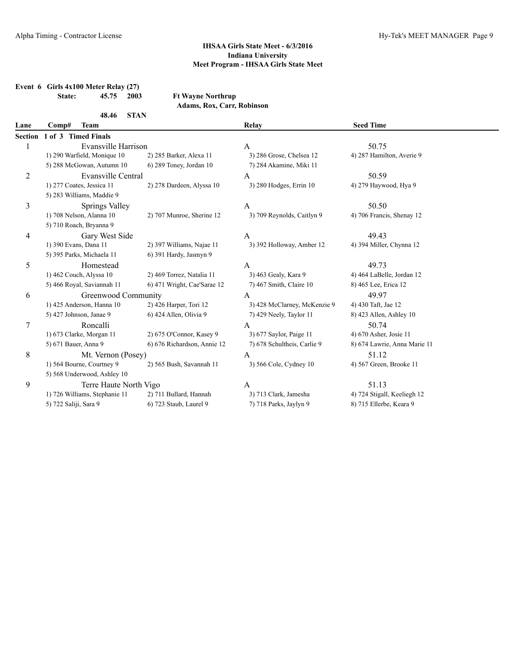|                | State:                | Event $6$ Girls $4x100$ Meter Relay (27)<br>45.75<br>2003 | <b>Ft Wayne Northrup</b>    |                              |                              |
|----------------|-----------------------|-----------------------------------------------------------|-----------------------------|------------------------------|------------------------------|
|                |                       |                                                           | Adams, Rox, Carr, Robinson  |                              |                              |
|                |                       | <b>STAN</b><br>48.46                                      |                             |                              |                              |
| Lane           | Comp#                 | <b>Team</b>                                               |                             | <b>Relay</b>                 | <b>Seed Time</b>             |
| <b>Section</b> |                       | 1 of 3 Timed Finals                                       |                             |                              |                              |
| 1              |                       | Evansville Harrison                                       |                             | $\mathbf{A}$                 | 50.75                        |
|                |                       | 1) 290 Warfield, Monique 10                               | 2) 285 Barker, Alexa 11     | 3) 286 Grose, Chelsea 12     | 4) 287 Hamilton, Averie 9    |
|                |                       | 5) 288 McGowan, Autumn 10                                 | 6) 289 Toney, Jordan 10     | 7) 284 Akamine, Miki 11      |                              |
| $\overline{c}$ |                       | Evansville Central                                        |                             | A                            | 50.59                        |
|                |                       | 1) 277 Coates, Jessica 11                                 | 2) 278 Dardeen, Alyssa 10   | 3) 280 Hodges, Errin 10      | 4) 279 Haywood, Hya 9        |
|                |                       | 5) 283 Williams, Maddie 9                                 |                             |                              |                              |
| 3              |                       | Springs Valley                                            |                             | $\boldsymbol{A}$             | 50.50                        |
|                |                       | 1) 708 Nelson, Alanna 10                                  | 2) 707 Munroe, Sherine 12   | 3) 709 Reynolds, Caitlyn 9   | 4) 706 Francis, Shenay 12    |
|                |                       | 5) 710 Roach, Bryanna 9                                   |                             |                              |                              |
| 4              |                       | Gary West Side                                            |                             | $\mathbf{A}$                 | 49.43                        |
|                |                       | 1) 390 Evans, Dana 11                                     | 2) 397 Williams, Najae 11   | 3) 392 Holloway, Amber 12    | 4) 394 Miller, Chynna 12     |
|                |                       | 5) 395 Parks, Michaela 11                                 | 6) 391 Hardy, Jasmyn 9      |                              |                              |
| 5              |                       | Homestead                                                 |                             | $\mathbf{A}$                 | 49.73                        |
|                |                       | 1) 462 Couch, Alyssa 10                                   | 2) 469 Torrez, Natalia 11   | 3) 463 Gealy, Kara 9         | 4) 464 LaBelle, Jordan 12    |
|                |                       | 5) 466 Royal, Saviannah 11                                | 6) 471 Wright, Cae'Sarae 12 | 7) 467 Smith, Claire 10      | 8) 465 Lee, Erica 12         |
| 6              |                       | Greenwood Community                                       |                             | $\overline{A}$               | 49.97                        |
|                |                       | 1) 425 Anderson, Hanna 10                                 | 2) 426 Harper, Tori 12      | 3) 428 McClarney, McKenzie 9 | 4) 430 Taft, Jae 12          |
|                |                       | 5) 427 Johnson, Janae 9                                   | 6) 424 Allen, Olivia 9      | 7) 429 Neely, Taylor 11      | 8) 423 Allen, Ashley 10      |
| 7              |                       | Roncalli                                                  |                             | A                            | 50.74                        |
|                |                       | 1) 673 Clarke, Morgan 11                                  | 2) 675 O'Connor, Kasey 9    | 3) 677 Saylor, Paige 11      | 4) 670 Asher, Josie 11       |
|                | 5) 671 Bauer, Anna 9  |                                                           | 6) 676 Richardson, Annie 12 | 7) 678 Schultheis, Carlie 9  | 8) 674 Lawrie, Anna Marie 11 |
| 8              |                       | Mt. Vernon (Posey)                                        |                             | A                            | 51.12                        |
|                |                       | 1) 564 Bourne, Courtney 9                                 | 2) 565 Bush, Savannah 11    | 3) 566 Cole, Cydney 10       | 4) 567 Green, Brooke 11      |
|                |                       | 5) 568 Underwood, Ashley 10                               |                             |                              |                              |
| 9              |                       | Terre Haute North Vigo                                    |                             | $\mathbf{A}$                 | 51.13                        |
|                |                       | 1) 726 Williams, Stephanie 11                             | 2) 711 Bullard, Hannah      | 3) 713 Clark, Jamesha        | 4) 724 Stigall, Keeliegh 12  |
|                | 5) 722 Saliji, Sara 9 |                                                           | 6) 723 Staub, Laurel 9      | 7) 718 Parks, Jaylyn 9       | 8) 715 Ellerbe, Keara 9      |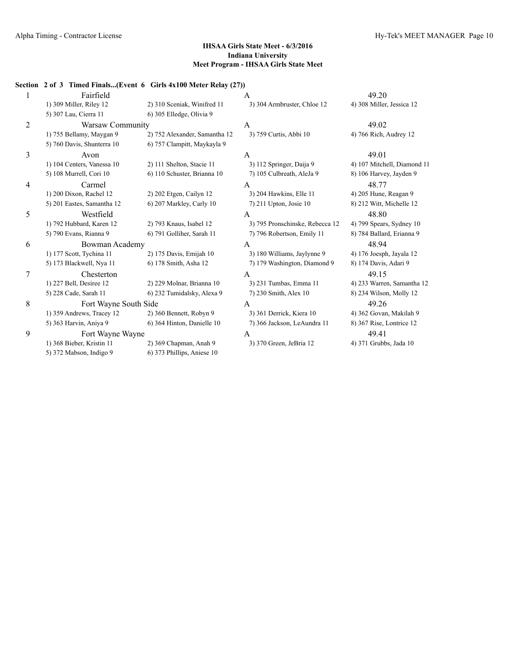# **Section 2 of 3 Timed Finals...(Event 6 Girls 4x100 Meter Relay (27))** 1 Fairfield **A** 49.20 1) 309 Miller, Riley 12 2) 310 Sceniak, Winifred 11 3) 304 Armbruster, Chloe 12 4) 308 Miller, Jessica 12 5) 307 Lau, Cierra 11 6) 305 Elledge, Olivia 9 2 Warsaw Community A 49.02 1) 755 Bellamy, Maygan 9 2) 752 Alexander, Samantha 12 3) 759 Curtis, Abbi 10 4) 766 Rich, Audrey 12 5) 760 Davis, Shunterra 10 6) 757 Clampitt, Maykayla 9  $\lambda$  Avon A 49.01 1) 104 Centers, Vanessa 10 2) 111 Shelton, Stacie 11 3) 112 Springer, Daija 9 4) 107 Mitchell, Diamond 11 5) 108 Murrell, Cori 10 6) 110 Schuster, Brianna 10 7) 105 Culbreath, AleJa 9 8) 106 Harvey, Jayden 9 4 Carmel A 48.77 1) 200 Dixon, Rachel 12 2) 202 Etgen, Cailyn 12 3) 204 Hawkins, Elle 11 4) 205 Hune, Reagan 9 5) 201 Eastes, Samantha 12 6) 207 Markley, Carly 10 7) 211 Upton, Josie 10 8) 212 Witt, Michelle 12 5 Westfield A 48.80 1) 792 Hubbard, Karen 12 2) 793 Knaus, Isabel 12 3) 795 Pronschinske, Rebecca 12 4) 799 Spears, Sydney 10 5) 790 Evans, Rianna 9 6) 791 Golliher, Sarah 11 7) 796 Robertson, Emily 11 8) 784 Ballard, Erianna 9 6 Bowman Academy A 48.94 1) 177 Scott, Tychina 11 2) 175 Davis, Emijah 10 3) 180 Williams, Jaylynne 9 4) 176 Joesph, Jayala 12 5) 173 Blackwell, Nya 11 6) 178 Smith, Asha 12 7) 179 Washington, Diamond 9 8) 174 Davis, Adari 9 7 Chesterton A 49.15 1) 227 Bell, Desiree 12 2) 229 Molnar, Brianna 10 3) 231 Tumbas, Emma 11 4) 233 Warren, Samantha 12 5) 228 Cade, Sarah 11 6) 232 Tumidalsky, Alexa 9 7) 230 Smith, Alex 10 8) 234 Wilson, Molly 12 8 Fort Wayne South Side A 49.26 1) 359 Andrews, Tracey 12 2) 360 Bennett, Robyn 9 3) 361 Derrick, Kiera 10 4) 362 Govan, Makilah 9 5) 363 Harvin, Aniya 9 6) 364 Hinton, Danielle 10 7) 366 Jackson, LeAundra 11 8) 367 Rise, Lontrice 12 9 Fort Wayne Wayne **A** 49.41 1) 368 Bieber, Kristin 11 2) 369 Chapman, Anah 9 3) 370 Green, JeBria 12 4) 371 Grubbs, Jada 10 5) 372 Mabson, Indigo 9 6) 373 Phillips, Aniese 10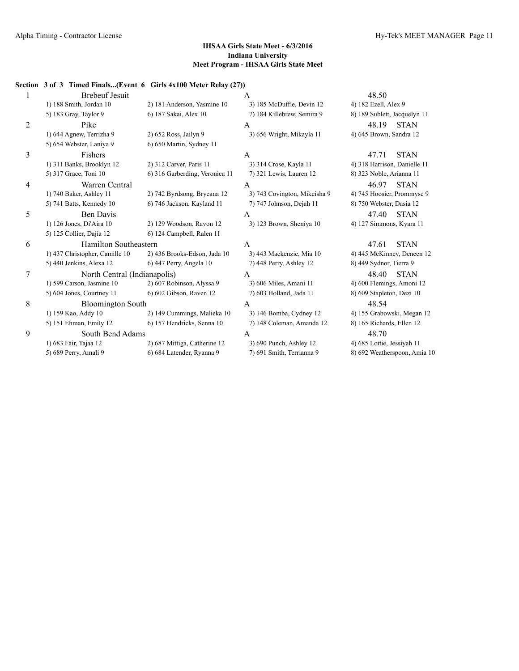#### **Section 3 of 3 Timed Finals...(Event 6 Girls 4x100 Meter Relay (27))**

|   | <b>Brebeuf Jesuit</b>          |                                | A                            | 48.50                        |
|---|--------------------------------|--------------------------------|------------------------------|------------------------------|
|   | 1) 188 Smith, Jordan 10        | 2) 181 Anderson, Yasmine 10    | 3) 185 McDuffie, Devin 12    | 4) 182 Ezell, Alex 9         |
|   | 5) 183 Gray, Taylor 9          | 6) 187 Sakai, Alex 10          | 7) 184 Killebrew, Semira 9   | 8) 189 Sublett, Jacquelyn 11 |
| 2 | Pike                           |                                | A                            | 48.19<br><b>STAN</b>         |
|   | 1) 644 Agnew, Terrizha 9       | 2) 652 Ross, Jailyn 9          | 3) 656 Wright, Mikayla 11    | 4) 645 Brown, Sandra 12      |
|   | 5) 654 Webster, Laniya 9       | 6) 650 Martin, Sydney 11       |                              |                              |
| 3 | Fishers                        |                                | A                            | <b>STAN</b><br>47.71         |
|   | 1) 311 Banks, Brooklyn 12      | 2) 312 Carver, Paris 11        | 3) 314 Crose, Kayla 11       | 4) 318 Harrison, Danielle 11 |
|   | 5) 317 Grace, Toni 10          | 6) 316 Garberding, Veronica 11 | 7) 321 Lewis, Lauren 12      | 8) 323 Noble, Arianna 11     |
| 4 | Warren Central                 |                                | A                            | 46.97<br><b>STAN</b>         |
|   | 1) 740 Baker, Ashley 11        | 2) 742 Byrdsong, Bryeana 12    | 3) 743 Covington, Mikeisha 9 | 4) 745 Hoosier, Prommyse 9   |
|   | 5) 741 Batts, Kennedy 10       | 6) 746 Jackson, Kayland 11     | 7) 747 Johnson, Dejah 11     | 8) 750 Webster, Dasia 12     |
| 5 | <b>Ben Davis</b>               |                                | A                            | 47.40<br><b>STAN</b>         |
|   | 1) 126 Jones, Di'Aira 10       | 2) 129 Woodson, Ravon 12       | 3) 123 Brown, Sheniya 10     | 4) 127 Simmons, Kyara 11     |
|   | 5) 125 Collier, Dajia 12       | 6) 124 Campbell, Ralen 11      |                              |                              |
| 6 | Hamilton Southeastern          |                                | $\mathsf{A}$                 | 47.61<br><b>STAN</b>         |
|   | 1) 437 Christopher, Camille 10 | 2) 436 Brooks-Edson, Jada 10   | 3) 443 Mackenzie, Mia 10     | 4) 445 McKinney, Deneen 12   |
|   | 5) 440 Jenkins, Alexa 12       | 6) 447 Perry, Angela 10        | 7) 448 Perry, Ashley 12      | 8) 449 Sydnor, Tierra 9      |
| 7 | North Central (Indianapolis)   |                                | $\mathsf{A}$                 | <b>STAN</b><br>48.40         |
|   | 1) 599 Carson, Jasmine 10      | 2) 607 Robinson, Alyssa 9      | 3) 606 Miles, Amani 11       | 4) 600 Flemings, Amoni 12    |
|   | 5) 604 Jones, Courtney 11      | 6) 602 Gibson, Raven 12        | 7) 603 Holland, Jada 11      | 8) 609 Stapleton, Dezi 10    |
| 8 | <b>Bloomington South</b>       |                                | $\mathsf{A}$                 | 48.54                        |
|   | 1) 159 Kao, Addy 10            | 2) 149 Cummings, Malieka 10    | 3) 146 Bomba, Cydney 12      | 4) 155 Grabowski, Megan 12   |
|   | 5) 151 Ehman, Emily 12         | 6) 157 Hendricks, Senna 10     | 7) 148 Coleman, Amanda 12    | 8) 165 Richards, Ellen 12    |
| 9 | South Bend Adams               |                                | A                            | 48.70                        |
|   | 1) 683 Fair, Tajaa 12          | 2) 687 Mittiga, Catherine 12   | 3) 690 Punch, Ashley 12      | 4) 685 Lottie, Jessiyah 11   |
|   | 5) 689 Perry, Amali 9          | 6) 684 Latender, Ryanna 9      | 7) 691 Smith, Terrianna 9    | 8) 692 Weatherspoon, Amia 10 |
|   |                                |                                |                              |                              |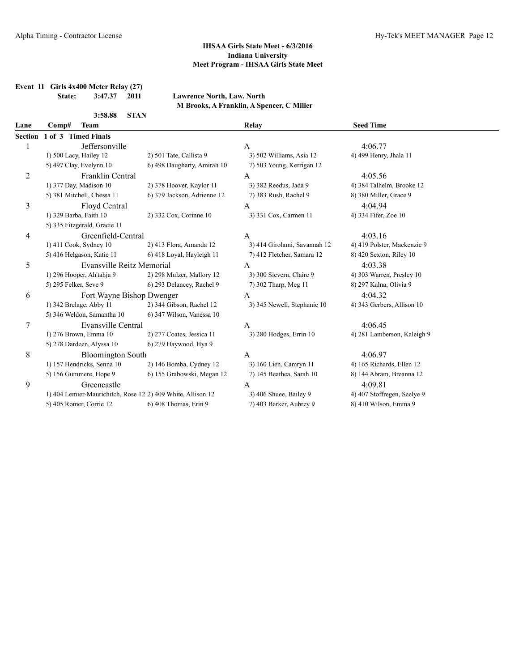**Event 11 Girls 4x400 Meter Relay (27)**

**State: 3:47.37 2011 Lawrence North, Law. North**

| 3:58.88 | <b>STAN</b> |
|---------|-------------|
|         |             |

|  |  |  | M Brooks, A Franklin, A Spencer, C Miller |  |
|--|--|--|-------------------------------------------|--|
|  |  |  |                                           |  |

| Lane | Comp#<br><b>Team</b>                                        |                             | <b>Relay</b>                 | <b>Seed Time</b>            |  |
|------|-------------------------------------------------------------|-----------------------------|------------------------------|-----------------------------|--|
|      | Section 1 of 3 Timed Finals                                 |                             |                              |                             |  |
| 1    | Jeffersonville                                              |                             | A                            | 4:06.77                     |  |
|      | 1) 500 Lacy, Hailey 12                                      | 2) 501 Tate, Callista 9     | 3) 502 Williams, Asia 12     | 4) 499 Henry, Jhala 11      |  |
|      | 5) 497 Clay, Evelynn 10                                     | 6) 498 Daugharty, Amirah 10 | 7) 503 Young, Kerrigan 12    |                             |  |
| 2    | Franklin Central                                            |                             | A                            | 4:05.56                     |  |
|      | 1) 377 Day, Madison 10                                      | 2) 378 Hoover, Kaylor 11    | 3) 382 Reedus, Jada 9        | 4) 384 Talhelm, Brooke 12   |  |
|      | 5) 381 Mitchell, Chessa 11                                  | 6) 379 Jackson, Adrienne 12 | 7) 383 Rush, Rachel 9        | 8) 380 Miller, Grace 9      |  |
| 3    | Floyd Central                                               |                             | A                            | 4:04.94                     |  |
|      | 1) 329 Barba, Faith 10                                      | 2) 332 Cox, Corinne 10      | 3) 331 Cox, Carmen 11        | 4) 334 Fifer, Zoe 10        |  |
|      | 5) 335 Fitzgerald, Gracie 11                                |                             |                              |                             |  |
| 4    | Greenfield-Central                                          |                             | $\mathbf{A}$                 | 4:03.16                     |  |
|      | 1) 411 Cook, Sydney 10                                      | 2) 413 Flora, Amanda 12     | 3) 414 Girolami, Savannah 12 | 4) 419 Polster, Mackenzie 9 |  |
|      | 5) 416 Helgason, Katie 11                                   | 6) 418 Loyal, Hayleigh 11   | 7) 412 Fletcher, Samara 12   | 8) 420 Sexton, Riley 10     |  |
| 5    | <b>Evansville Reitz Memorial</b>                            |                             | A                            | 4:03.38                     |  |
|      | 1) 296 Hooper, Ah'tahja 9                                   | 2) 298 Mulzer, Mallory 12   | 3) 300 Sievern, Claire 9     | 4) 303 Warren, Presley 10   |  |
|      | 5) 295 Felker, Seve 9                                       | 6) 293 Delancey, Rachel 9   | 7) 302 Tharp, Meg 11         | 8) 297 Kalna, Olivia 9      |  |
| 6    | Fort Wayne Bishop Dwenger                                   |                             | A                            | 4:04.32                     |  |
|      | 1) 342 Brelage, Abby 11                                     | 2) 344 Gibson, Rachel 12    | 3) 345 Newell, Stephanie 10  | 4) 343 Gerbers, Allison 10  |  |
|      | 5) 346 Weldon, Samantha 10                                  | 6) 347 Wilson, Vanessa 10   |                              |                             |  |
| 7    | Evansville Central                                          |                             | A                            | 4:06.45                     |  |
|      | 1) 276 Brown, Emma 10                                       | 2) 277 Coates, Jessica 11   | 3) 280 Hodges, Errin 10      | 4) 281 Lamberson, Kaleigh 9 |  |
|      | 5) 278 Dardeen, Alyssa 10                                   | 6) 279 Haywood, Hya 9       |                              |                             |  |
| 8    | <b>Bloomington South</b>                                    |                             | $\mathbf{A}$                 | 4:06.97                     |  |
|      | 1) 157 Hendricks, Senna 10                                  | 2) 146 Bomba, Cydney 12     | 3) 160 Lien, Camryn 11       | 4) 165 Richards, Ellen 12   |  |
|      | 5) 156 Gummere, Hope 9                                      | 6) 155 Grabowski, Megan 12  | 7) 145 Beathea, Sarah 10     | 8) 144 Abram, Breanna 12    |  |
| 9    | Greencastle                                                 |                             | А                            | 4:09.81                     |  |
|      | 1) 404 Lemier-Maurichitch, Rose 12 2) 409 White, Allison 12 |                             | 3) 406 Shuee, Bailey 9       | 4) 407 Stoffregen, Seelye 9 |  |
|      | 5) 405 Romer, Corrie 12                                     | 6) 408 Thomas, Erin 9       | 7) 403 Barker, Aubrey 9      | 8) 410 Wilson, Emma 9       |  |
|      |                                                             |                             |                              |                             |  |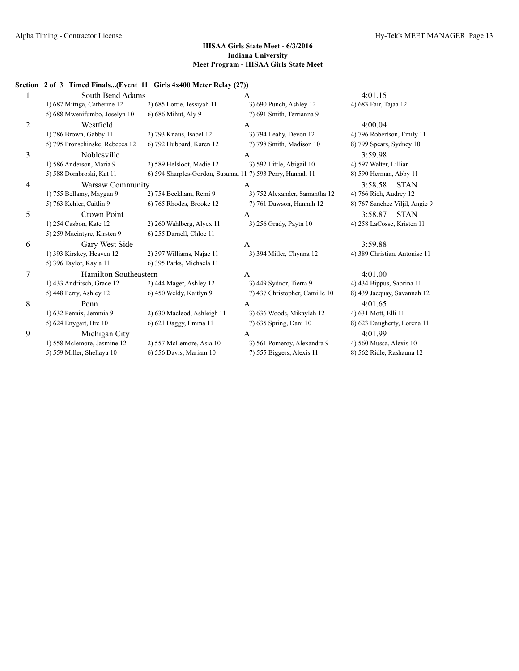# **Section 2 of 3 Timed Finals...(Event 11 Girls 4x400 Meter Relay (27))**

|   | South Bend Adams                |                                                            | $\mathsf{A}$                   | 4:01.15                        |
|---|---------------------------------|------------------------------------------------------------|--------------------------------|--------------------------------|
|   | 1) 687 Mittiga, Catherine 12    | 2) 685 Lottie, Jessiyah 11                                 | 3) 690 Punch, Ashley 12        | 4) 683 Fair, Tajaa 12          |
|   | 5) 688 Mwenifumbo, Joselyn 10   | 6) 686 Mihut, Aly 9                                        | 7) 691 Smith, Terrianna 9      |                                |
| 2 | Westfield                       |                                                            | A                              | 4:00.04                        |
|   | 1) 786 Brown, Gabby 11          | 2) 793 Knaus, Isabel 12                                    | 3) 794 Leahy, Devon 12         | 4) 796 Robertson, Emily 11     |
|   | 5) 795 Pronschinske, Rebecca 12 | 6) 792 Hubbard, Karen 12                                   | 7) 798 Smith, Madison 10       | 8) 799 Spears, Sydney 10       |
| 3 | Noblesville                     |                                                            | A                              | 3:59.98                        |
|   | 1) 586 Anderson, Maria 9        | 2) 589 Helsloot, Madie 12                                  | 3) 592 Little, Abigail 10      | 4) 597 Walter, Lillian         |
|   | 5) 588 Dombroski, Kat 11        | 6) 594 Sharples-Gordon, Susanna 11 7) 593 Perry, Hannah 11 |                                | 8) 590 Herman, Abby 11         |
| 4 | Warsaw Community                |                                                            | A                              | 3:58.58<br><b>STAN</b>         |
|   | 1) 755 Bellamy, Maygan 9        | 2) 754 Beckham, Remi 9                                     | 3) 752 Alexander, Samantha 12  | 4) 766 Rich, Audrey 12         |
|   | 5) 763 Kehler, Caitlin 9        | 6) 765 Rhodes, Brooke 12                                   | 7) 761 Dawson, Hannah 12       | 8) 767 Sanchez Viljil, Angie 9 |
| 5 | Crown Point                     |                                                            | $\mathsf{A}$                   | 3:58.87<br><b>STAN</b>         |
|   | 1) 254 Casbon, Kate 12          | 2) 260 Wahlberg, Alyex 11                                  | 3) 256 Grady, Paytn 10         | 4) 258 LaCosse, Kristen 11     |
|   | 5) 259 Macintyre, Kirsten 9     | 6) 255 Darnell, Chloe 11                                   |                                |                                |
| 6 | Gary West Side                  |                                                            | A                              | 3:59.88                        |
|   | 1) 393 Kirskey, Heaven 12       | 2) 397 Williams, Najae 11                                  | 3) 394 Miller, Chynna 12       | 4) 389 Christian, Antonise 11  |
|   | 5) 396 Taylor, Kayla 11         | 6) 395 Parks, Michaela 11                                  |                                |                                |
| 7 | Hamilton Southeastern           |                                                            | A                              | 4:01.00                        |
|   | 1) 433 Andritsch, Grace 12      | 2) 444 Mager, Ashley 12                                    | 3) 449 Sydnor, Tierra 9        | 4) 434 Bippus, Sabrina 11      |
|   | 5) 448 Perry, Ashley 12         | 6) 450 Weldy, Kaitlyn 9                                    | 7) 437 Christopher, Camille 10 | 8) 439 Jacquay, Savannah 12    |
| 8 | Penn                            |                                                            | A                              | 4:01.65                        |
|   | 1) 632 Pennix, Jemmia 9         | 2) 630 Macleod, Ashleigh 11                                | 3) 636 Woods, Mikaylah 12      | 4) 631 Mott, Elli 11           |
|   | 5) 624 Enygart, Bre 10          | 6) 621 Daggy, Emma 11                                      | 7) 635 Spring, Dani 10         | 8) 623 Daugherty, Lorena 11    |
| 9 | Michigan City                   |                                                            | A                              | 4:01.99                        |
|   | 1) 558 Mclemore, Jasmine 12     | 2) 557 McLemore, Asia 10                                   | 3) 561 Pomeroy, Alexandra 9    | 4) 560 Mussa, Alexis 10        |
|   | 5) 559 Miller, Shellaya 10      | 6) 556 Davis, Mariam 10                                    | 7) 555 Biggers, Alexis 11      | 8) 562 Ridle, Rashauna 12      |
|   |                                 |                                                            |                                |                                |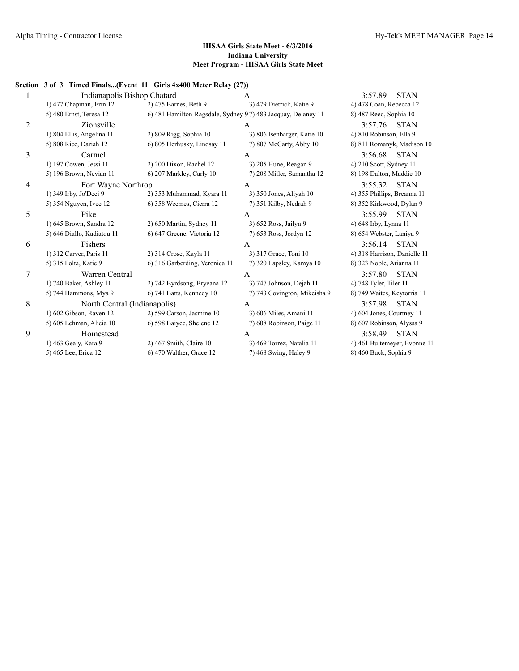3:57.89 STAN

#### **IHSAA Girls State Meet - 6/3/2016 Indiana University Meet Program - IHSAA Girls State Meet**

#### **Section 3 of 3 Timed Finals...(Event 11 Girls 4x400 Meter Relay (27))**

| 1              | Indianapolis Bishop Chatard  |                                                              | $\mathbf{A}$                 | 3:57.89<br><b>STAN</b>       |
|----------------|------------------------------|--------------------------------------------------------------|------------------------------|------------------------------|
|                | 1) 477 Chapman, Erin 12      | 2) 475 Barnes, Beth 9                                        | 3) 479 Dietrick, Katie 9     | 4) 478 Coan, Rebecca 12      |
|                | 5) 480 Ernst, Teresa 12      | 6) 481 Hamilton-Ragsdale, Sydney 97) 483 Jacquay, Delaney 11 |                              | 8) 487 Reed, Sophia 10       |
| $\overline{2}$ | Zionsville                   |                                                              | A                            | 3:57.76<br><b>STAN</b>       |
|                | 1) 804 Ellis, Angelina 11    | 2) 809 Rigg, Sophia 10                                       | 3) 806 Isenbarger, Katie 10  | 4) 810 Robinson, Ella 9      |
|                | 5) 808 Rice, Dariah 12       | 6) 805 Herhusky, Lindsay 11                                  | 7) 807 McCarty, Abby 10      | 8) 811 Romanyk, Madison 10   |
| 3              | Carmel                       |                                                              | A                            | 3:56.68<br><b>STAN</b>       |
|                | 1) 197 Cowen, Jessi 11       | 2) 200 Dixon, Rachel 12                                      | 3) 205 Hune, Reagan 9        | 4) 210 Scott, Sydney 11      |
|                | 5) 196 Brown, Nevian 11      | 6) 207 Markley, Carly 10                                     | 7) 208 Miller, Samantha 12   | 8) 198 Dalton, Maddie 10     |
| 4              | Fort Wayne Northrop          |                                                              | $\overline{A}$               | 3:55.32<br><b>STAN</b>       |
|                | 1) 349 Irby, Jo'Deci 9       | 2) 353 Muhammad, Kyara 11                                    | 3) 350 Jones, Aliyah 10      | 4) 355 Phillips, Breanna 11  |
|                | 5) 354 Nguyen, Ivee 12       | 6) 358 Weemes, Cierra 12                                     | 7) 351 Kilby, Nedrah 9       | 8) 352 Kirkwood, Dylan 9     |
| 5              | Pike                         |                                                              | A                            | 3:55.99<br><b>STAN</b>       |
|                | 1) 645 Brown, Sandra 12      | 2) 650 Martin, Sydney 11                                     | 3) 652 Ross, Jailyn 9        | 4) 648 Irby, Lynna 11        |
|                | 5) 646 Diallo, Kadiatou 11   | 6) 647 Greene, Victoria 12                                   | 7) 653 Ross, Jordyn 12       | 8) 654 Webster, Laniya 9     |
| 6              | <b>Fishers</b>               |                                                              | $\overline{A}$               | 3:56.14<br><b>STAN</b>       |
|                | 1) 312 Carver, Paris 11      | 2) 314 Crose, Kayla 11                                       | 3) 317 Grace, Toni 10        | 4) 318 Harrison, Danielle 11 |
|                | 5) 315 Folta, Katie 9        | 6) 316 Garberding, Veronica 11                               | 7) 320 Lapsley, Kamya 10     | 8) 323 Noble, Arianna 11     |
| $\overline{7}$ | Warren Central               |                                                              | $\overline{A}$               | 3:57.80<br><b>STAN</b>       |
|                | 1) 740 Baker, Ashley 11      | 2) 742 Byrdsong, Bryeana 12                                  | 3) 747 Johnson, Dejah 11     | 4) 748 Tyler, Tiler 11       |
|                | 5) 744 Hammons, Mya 9        | 6) 741 Batts, Kennedy 10                                     | 7) 743 Covington, Mikeisha 9 | 8) 749 Waites, Keytorria 11  |
| $\,8\,$        | North Central (Indianapolis) |                                                              | $\mathsf{A}$                 | 3:57.98<br><b>STAN</b>       |
|                | 1) 602 Gibson, Raven 12      | 2) 599 Carson, Jasmine 10                                    | 3) 606 Miles, Amani 11       | 4) 604 Jones, Courtney 11    |
|                | 5) 605 Lehman, Alicia 10     | 6) 598 Baiyee, Shelene 12                                    | 7) 608 Robinson, Paige 11    | 8) 607 Robinson, Alyssa 9    |
| 9              | Homestead                    |                                                              | A                            | <b>STAN</b><br>3:58.49       |
|                | 1) 463 Gealy, Kara 9         | $2)$ 467 Smith, Claire 10                                    | 3) 469 Torrez, Natalia 11    | 4) 461 Bultemeyer, Evonne 11 |
|                | 5) 465 Lee, Erica 12         | 6) 470 Walther, Grace 12                                     | 7) 468 Swing, Haley 9        | 8) 460 Buck, Sophia 9        |
|                |                              |                                                              |                              |                              |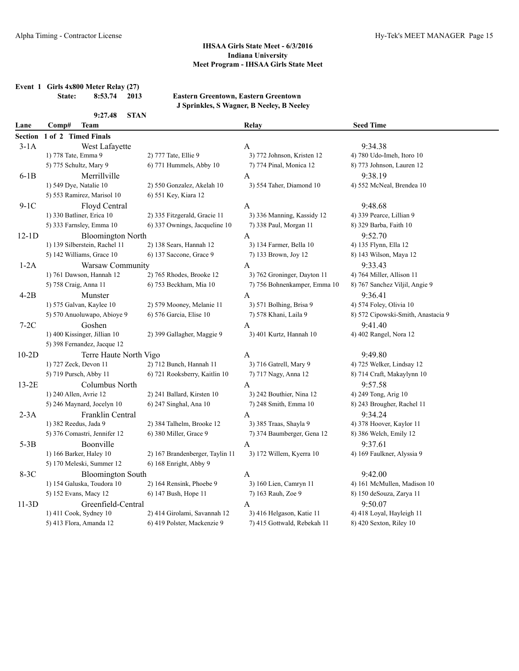**Event 1 Girls 4x800 Meter Relay (27)**

**State: 8:53.74 2013 Eastern Greentown, Eastern Greentown J Sprinkles, S Wagner, B Neeley, B Neeley**

|                | 9:27.48<br><b>STAN</b>        |                                 |                              |                                    |  |  |  |
|----------------|-------------------------------|---------------------------------|------------------------------|------------------------------------|--|--|--|
| Lane           | Comp#<br><b>Team</b>          |                                 | Relay                        | <b>Seed Time</b>                   |  |  |  |
| <b>Section</b> | 1 of 2 Timed Finals           |                                 |                              |                                    |  |  |  |
| $3-1A$         | West Lafayette                |                                 | A                            | 9:34.38                            |  |  |  |
|                | 1) 778 Tate, Emma 9           | 2) 777 Tate, Ellie 9            | 3) 772 Johnson, Kristen 12   | 4) 780 Udo-Imeh, Itoro 10          |  |  |  |
|                | 5) 775 Schultz, Mary 9        | 6) 771 Hummels, Abby 10         | 7) 774 Pinal, Monica 12      | 8) 773 Johnson, Lauren 12          |  |  |  |
| $6-1B$         | Merrillville                  |                                 | A                            | 9:38.19                            |  |  |  |
|                | 1) 549 Dye, Natalie 10        | 2) 550 Gonzalez, Akelah 10      | 3) 554 Taher, Diamond 10     | 4) 552 McNeal, Brendea 10          |  |  |  |
|                | 5) 553 Ramirez, Marisol 10    | 6) 551 Key, Kiara 12            |                              |                                    |  |  |  |
| $9-1C$         | Floyd Central                 |                                 | $\mathbf{A}$                 | 9:48.68                            |  |  |  |
|                | 1) 330 Batliner, Erica 10     | 2) 335 Fitzgerald, Gracie 11    | 3) 336 Manning, Kassidy 12   | 4) 339 Pearce, Lillian 9           |  |  |  |
|                | 5) 333 Farnsley, Emma 10      | 6) 337 Ownings, Jacqueline 10   | 7) 338 Paul, Morgan 11       | 8) 329 Barba, Faith 10             |  |  |  |
| $12-1D$        | <b>Bloomington North</b>      |                                 | $\mathbf{A}$                 | 9:52.70                            |  |  |  |
|                | 1) 139 Silberstein, Rachel 11 | 2) 138 Sears, Hannah 12         | 3) 134 Farmer, Bella 10      | 4) 135 Flynn, Ella 12              |  |  |  |
|                | 5) 142 Williams, Grace 10     | 6) 137 Saccone, Grace 9         | 7) 133 Brown, Joy 12         | 8) 143 Wilson, Maya 12             |  |  |  |
| $1-2A$         | Warsaw Community              |                                 | A                            | 9:33.43                            |  |  |  |
|                | 1) 761 Dawson, Hannah 12      | 2) 765 Rhodes, Brooke 12        | 3) 762 Groninger, Dayton 11  | 4) 764 Miller, Allison 11          |  |  |  |
|                | 5) 758 Craig, Anna 11         | 6) 753 Beckham, Mia 10          | 7) 756 Bohnenkamper, Emma 10 | 8) 767 Sanchez Viljil, Angie 9     |  |  |  |
| $4-2B$         | Munster                       |                                 | A                            | 9:36.41                            |  |  |  |
|                | 1) 575 Galvan, Kaylee 10      | 2) 579 Mooney, Melanie 11       | 3) 571 Bolhing, Brisa 9      | 4) 574 Foley, Olivia 10            |  |  |  |
|                | 5) 570 Anuoluwapo, Abioye 9   | 6) 576 Garcia, Elise 10         | 7) 578 Khani, Laila 9        | 8) 572 Cipowski-Smith, Anastacia 9 |  |  |  |
| $7-2C$         | Goshen                        |                                 | $\mathbf{A}$                 | 9:41.40                            |  |  |  |
|                | 1) 400 Kissinger, Jillian 10  | 2) 399 Gallagher, Maggie 9      | 3) 401 Kurtz, Hannah 10      | 4) 402 Rangel, Nora 12             |  |  |  |
|                | 5) 398 Fernandez, Jacque 12   |                                 |                              |                                    |  |  |  |
| $10-2D$        | Terre Haute North Vigo        |                                 | $\mathbf{A}$                 | 9:49.80                            |  |  |  |
|                | 1) 727 Zeck, Devon 11         | 2) 712 Bunch, Hannah 11         | 3) 716 Gatrell, Mary 9       | 4) 725 Welker, Lindsay 12          |  |  |  |
|                | 5) 719 Pursch, Abby 11        | 6) 721 Rooksberry, Kaitlin 10   | 7) 717 Nagy, Anna 12         | 8) 714 Craft, Makaylynn 10         |  |  |  |
| $13-2E$        | Columbus North                |                                 | A                            | 9:57.58                            |  |  |  |
|                | 1) 240 Allen, Avrie 12        | 2) 241 Ballard, Kirsten 10      | 3) 242 Bouthier, Nina 12     | 4) 249 Tong, Arig 10               |  |  |  |
|                | 5) 246 Maynard, Jocelyn 10    | 6) 247 Singhal, Ana 10          | 7) 248 Smith, Emma 10        | 8) 243 Brougher, Rachel 11         |  |  |  |
| $2-3A$         | Franklin Central              |                                 | $\mathbf{A}$                 | 9:34.24                            |  |  |  |
|                | 1) 382 Reedus, Jada 9         | 2) 384 Talhelm, Brooke 12       | 3) 385 Traas, Shayla 9       | 4) 378 Hoover, Kaylor 11           |  |  |  |
|                | 5) 376 Comastri, Jennifer 12  | 6) 380 Miller, Grace 9          | 7) 374 Baumberger, Gena 12   | 8) 386 Welch, Emily 12             |  |  |  |
| $5-3B$         | Boonville                     |                                 | A                            | 9:37.61                            |  |  |  |
|                | 1) 166 Barker, Haley 10       | 2) 167 Brandenberger, Taylin 11 | 3) 172 Willem, Kyerra 10     | 4) 169 Faulkner, Alyssia 9         |  |  |  |
|                | 5) 170 Meleski, Summer 12     | 6) 168 Enright, Abby 9          |                              |                                    |  |  |  |
| $8-3C$         | <b>Bloomington South</b>      |                                 | $\mathbf{A}$                 | 9:42.00                            |  |  |  |
|                | 1) 154 Galuska, Toudora 10    | 2) 164 Rensink, Phoebe 9        | 3) 160 Lien, Camryn 11       | 4) 161 McMullen, Madison 10        |  |  |  |
|                | 5) 152 Evans, Macy 12         | 6) 147 Bush, Hope 11            | 7) 163 Rauh, Zoe 9           | 8) 150 deSouza, Zarya 11           |  |  |  |
| $11-3D$        | Greenfield-Central            |                                 | A                            | 9:50.07                            |  |  |  |
|                | 1) 411 Cook, Sydney 10        | 2) 414 Girolami, Savannah 12    | 3) 416 Helgason, Katie 11    | 4) 418 Loyal, Hayleigh 11          |  |  |  |
|                | 5) 413 Flora, Amanda 12       | 6) 419 Polster, Mackenzie 9     | 7) 415 Gottwald, Rebekah 11  | 8) 420 Sexton, Riley 10            |  |  |  |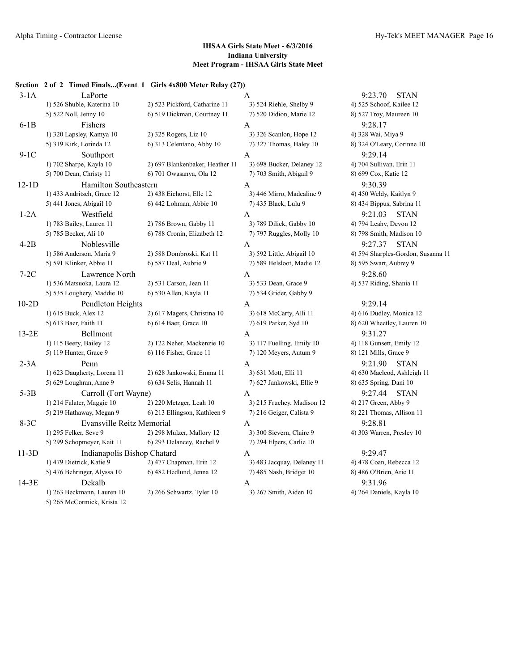#### **Section 2 of 2 Timed Finals...(Event 1 Girls 4x800 Meter Relay (27))**

| $3-1A$  | LaPorte                          |                                 | A                          | 9:23.70<br><b>STAN</b>   |
|---------|----------------------------------|---------------------------------|----------------------------|--------------------------|
|         | 1) 526 Shuble, Katerina 10       | 2) 523 Pickford, Catharine 11   | 3) 524 Riehle, Shelby 9    | 4) 525 Schoof, Kailee 12 |
|         | 5) 522 Noll, Jenny 10            | 6) 519 Dickman, Courtney 11     | 7) 520 Didion, Marie 12    | 8) 527 Troy, Maureen 10  |
| $6-1B$  | Fishers                          |                                 | $\mathbf{A}$               | 9:28.17                  |
|         | 1) 320 Lapsley, Kamya 10         | 2) 325 Rogers, Liz 10           | 3) 326 Scanlon, Hope 12    | 4) 328 Wai, Miya 9       |
|         | 5) 319 Kirk, Lorinda 12          | 6) 313 Celentano, Abby 10       | 7) 327 Thomas, Haley 10    | 8) 324 O'Leary, Corinne  |
| $9-1C$  | Southport                        |                                 | A                          | 9:29.14                  |
|         | 1) 702 Sharpe, Kayla 10          | 2) 697 Blankenbaker, Heather 11 | 3) 698 Bucker, Delaney 12  | 4) 704 Sullivan, Erin 11 |
|         | 5) 700 Dean, Christy 11          | 6) 701 Owasanya, Ola 12         | 7) 703 Smith, Abigail 9    | 8) 699 Cox, Katie 12     |
| $12-1D$ | Hamilton Southeastern            |                                 | A                          | 9:30.39                  |
|         | 1) 433 Andritsch, Grace 12       | 2) 438 Eichorst, Elle 12        | 3) 446 Mirro, Madealine 9  | 4) 450 Weldy, Kaitlyn 9  |
|         | 5) 441 Jones, Abigail 10         | 6) 442 Lohman, Abbie 10         | 7) 435 Black, Lulu 9       | 8) 434 Bippus, Sabrina 1 |
| $1-2A$  | Westfield                        |                                 | A                          | 9:21.03<br><b>STAN</b>   |
|         | 1) 783 Bailey, Lauren 11         | 2) 786 Brown, Gabby 11          | 3) 789 Dilick, Gabby 10    | 4) 794 Leahy, Devon 12   |
|         | 5) 785 Becker, Ali 10            | 6) 788 Cronin, Elizabeth 12     | 7) 797 Ruggles, Molly 10   | 8) 798 Smith, Madison 1  |
| $4-2B$  | Noblesville                      |                                 | A                          | <b>STAN</b><br>9:27.37   |
|         | 1) 586 Anderson, Maria 9         | 2) 588 Dombroski, Kat 11        | 3) 592 Little, Abigail 10  | 4) 594 Sharples-Gordon,  |
|         | 5) 591 Klinker, Abbie 11         | 6) 587 Deal, Aubrie 9           | 7) 589 Helsloot, Madie 12  | 8) 595 Swart, Aubrey 9   |
| $7-2C$  | Lawrence North                   |                                 | A                          | 9:28.60                  |
|         | 1) 536 Matsuoka, Laura 12        | 2) 531 Carson, Jean 11          | 3) 533 Dean, Grace 9       | 4) 537 Riding, Shania 11 |
|         | 5) 535 Loughery, Maddie 10       | 6) 530 Allen, Kayla 11          | 7) 534 Grider, Gabby 9     |                          |
| $10-2D$ | Pendleton Heights                |                                 | A                          | 9:29.14                  |
|         | 1) 615 Buck, Alex 12             | 2) 617 Magers, Christina 10     | 3) 618 McCarty, Alli 11    | 4) 616 Dudley, Monica 1  |
|         | 5) 613 Baer, Faith 11            | 6) 614 Baer, Grace 10           | 7) 619 Parker, Syd 10      | 8) 620 Wheetley, Lauren  |
| $13-2E$ | Bellmont                         |                                 | A                          | 9:31.27                  |
|         | 1) 115 Beery, Bailey 12          | 2) 122 Neher, Mackenzie 10      | 3) 117 Fuelling, Emily 10  | 4) 118 Gunsett, Emily 12 |
|         | 5) 119 Hunter, Grace 9           | 6) 116 Fisher, Grace 11         | 7) 120 Meyers, Autum 9     | 8) 121 Mills, Grace 9    |
| $2-3A$  | Penn                             |                                 | $\mathbf{A}$               | 9:21.90<br><b>STAN</b>   |
|         | 1) 623 Daugherty, Lorena 11      | 2) 628 Jankowski, Emma 11       | 3) 631 Mott, Elli 11       | 4) 630 Macleod, Ashleigl |
|         | 5) 629 Loughran, Anne 9          | 6) 634 Selis, Hannah 11         | 7) 627 Jankowski, Ellie 9  | 8) 635 Spring, Dani 10   |
| $5-3B$  | Carroll (Fort Wayne)             |                                 | A                          | 9:27.44<br><b>STAN</b>   |
|         | 1) 214 Falater, Maggie 10        | 2) 220 Metzger, Leah 10         | 3) 215 Fruchey, Madison 12 | 4) 217 Green, Abby 9     |
|         | 5) 219 Hathaway, Megan 9         | 6) 213 Ellingson, Kathleen 9    | 7) 216 Geiger, Calista 9   | 8) 221 Thomas, Allison 1 |
| $8-3C$  | <b>Evansville Reitz Memorial</b> |                                 | A                          | 9:28.81                  |
|         | 1) 295 Felker, Seve 9            | 2) 298 Mulzer, Mallory 12       | 3) 300 Sievern, Claire 9   | 4) 303 Warren, Presley 1 |
|         | 5) 299 Schopmeyer, Kait 11       | 6) 293 Delancey, Rachel 9       | 7) 294 Elpers, Carlie 10   |                          |
| $11-3D$ | Indianapolis Bishop Chatard      |                                 | A                          | 9:29.47                  |
|         | 1) 479 Dietrick, Katie 9         | 2) 477 Chapman, Erin 12         | 3) 483 Jacquay, Delaney 11 | 4) 478 Coan, Rebecca 12  |
|         | 5) 476 Behringer, Alyssa 10      | 6) 482 Hedlund, Jenna 12        | 7) 485 Nash, Bridget 10    | 8) 486 O'Brien, Arie 11  |
| 14-3E   | Dekalb                           |                                 | A                          | 9:31.96                  |
|         | 1) 263 Beckmann, Lauren 10       | 2) 266 Schwartz, Tyler 10       | 3) 267 Smith, Aiden 10     | 4) 264 Daniels, Kayla 10 |
|         | 5) 265 McCormick, Krista 12      |                                 |                            |                          |

9:23.70 STAN ehle, Shelby 9 4) 525 Schoof, Kailee 12 dion, Marie 12 6) 527 Troy, Maureen 10  $\frac{1}{2}$  and  $\frac{1}{2}$  4) 328 Wai, Miya 9 5) 324 O'Leary, Corinne 10 8) 324 O'Leary, Corinne 10 cker, Delaney 12 4) 704 Sullivan, Erin 11 nith, Abigail 9 8) 699 Cox, Katie 12 1) 430 Weldy, Kaitlyn 9 12 30 Weldy, Elityn 9 ort, Lulu 9 6) 434 Bippus, Sabrina 11 9:21.03 STAN lick, Gabby 10 4) 794 Leahy, Devon 12 ggles, Molly 10 8) 798 Smith, Madison 10 9:27.37 STAN tle, Abigail 10 4) 594 Sharples-Gordon, Susanna 11 1sloot, Madie 12 6) 595 Swart, Aubrey 9 an, Grace 9 2012 4) 537 Riding, Shania 11 2Carty, Alli 11 4) 616 Dudley, Monica 12 Free, Syd 10 8) 620 Wheetley, Lauren 10 elling, Emily 10 3) 118 Gunsett, Emily 12 5) 121 Mills, Grace 9 6) 121 Mills, Grace 9 9:21.90 STAN<br>2011, ett, Elli 11 4) 630 Macleod, Ashleig 4) 630 Macleod, Ashleigh 11 5) 629 Loughran, Anne 9 6) 634 Selis, Hannah 11 7) 627 Jankowski, Ellie 9 8) 635 Spring, Dani 10 9:27.44 STAN 1) 217 Green, Abby 9 iger, Calista 9 6) 221 Thomas, Allison 11 evern, Claire 9 2003 Warren, Presley 10 1) 478 Coan, Rebecca 12 3) 478 Pan, Paraman, Papa 12 sh, Bridget 10 8) 486 O'Brien, Arie 11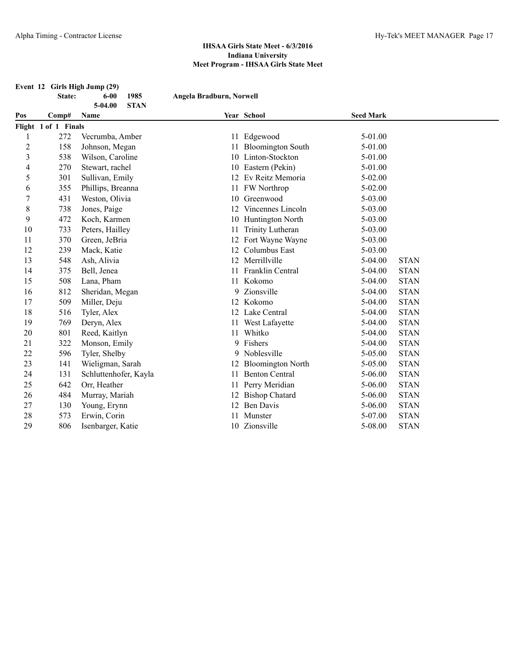|                |                      | Event 12 Girls High Jump (29)              |                          |                          |                  |             |
|----------------|----------------------|--------------------------------------------|--------------------------|--------------------------|------------------|-------------|
|                | State:               | 1985<br>$6 - 00$<br><b>STAN</b><br>5-04.00 | Angela Bradburn, Norwell |                          |                  |             |
| Pos            | Comp#                | Name                                       |                          | Year School              | <b>Seed Mark</b> |             |
|                | Flight 1 of 1 Finals |                                            |                          |                          |                  |             |
| 1              | 272                  | Vecrumba, Amber                            |                          | 11 Edgewood              | 5-01.00          |             |
| $\overline{c}$ | 158                  | Johnson, Megan                             | 11                       | <b>Bloomington South</b> | 5-01.00          |             |
| 3              | 538                  | Wilson, Caroline                           |                          | 10 Linton-Stockton       | 5-01.00          |             |
| 4              | 270                  | Stewart, rachel                            | 10                       | Eastern (Pekin)          | 5-01.00          |             |
| 5              | 301                  | Sullivan, Emily                            | 12                       | Ev Reitz Memoria         | $5 - 02.00$      |             |
| 6              | 355                  | Phillips, Breanna                          |                          | 11 FW Northrop           | 5-02.00          |             |
| 7              | 431                  | Weston, Olivia                             |                          | 10 Greenwood             | 5-03.00          |             |
| 8              | 738                  | Jones, Paige                               | 12                       | Vincennes Lincoln        | $5 - 03.00$      |             |
| 9              | 472                  | Koch, Karmen                               | 10                       | Huntington North         | 5-03.00          |             |
| 10             | 733                  | Peters, Hailley                            | 11                       | Trinity Lutheran         | 5-03.00          |             |
| 11             | 370                  | Green, JeBria                              |                          | Fort Wayne Wayne         | 5-03.00          |             |
| 12             | 239                  | Mack, Katie                                | 12                       | Columbus East            | 5-03.00          |             |
| 13             | 548                  | Ash, Alivia                                |                          | 12 Merrillville          | $5-04.00$        | <b>STAN</b> |
| 14             | 375                  | Bell, Jenea                                | 11                       | Franklin Central         | $5-04.00$        | <b>STAN</b> |
| 15             | 508                  | Lana, Pham                                 |                          | 11 Kokomo                | $5-04.00$        | <b>STAN</b> |
| 16             | 812                  | Sheridan, Megan                            |                          | 9 Zionsville             | $5-04.00$        | <b>STAN</b> |
| 17             | 509                  | Miller, Deju                               |                          | 12 Kokomo                | $5-04.00$        | <b>STAN</b> |
| 18             | 516                  | Tyler, Alex                                |                          | 12 Lake Central          | $5-04.00$        | <b>STAN</b> |
| 19             | 769                  | Deryn, Alex                                |                          | 11 West Lafayette        | $5-04.00$        | <b>STAN</b> |
| 20             | 801                  | Reed, Kaitlyn                              |                          | 11 Whitko                | 5-04.00          | <b>STAN</b> |
| 21             | 322                  | Monson, Emily                              | 9                        | Fishers                  | $5-04.00$        | <b>STAN</b> |
| 22             | 596                  | Tyler, Shelby                              |                          | 9 Noblesville            | 5-05.00          | <b>STAN</b> |
| 23             | 141                  | Wieligman, Sarah                           | 12                       | <b>Bloomington North</b> | 5-05.00          | <b>STAN</b> |
| 24             | 131                  | Schluttenhofer, Kayla                      | 11                       | <b>Benton Central</b>    | 5-06.00          | <b>STAN</b> |
| 25             | 642                  | Orr, Heather                               |                          | Perry Meridian           | 5-06.00          | <b>STAN</b> |
| 26             | 484                  | Murray, Mariah                             |                          | 12 Bishop Chatard        | $5 - 06.00$      | <b>STAN</b> |
| 27             | 130                  | Young, Erynn                               |                          | 12 Ben Davis             | 5-06.00          | <b>STAN</b> |
| 28             | 573                  | Erwin, Corin                               | 11                       | Munster                  | 5-07.00          | <b>STAN</b> |
| 29             | 806                  | Isenbarger, Katie                          |                          | 10 Zionsville            | 5-08.00          | <b>STAN</b> |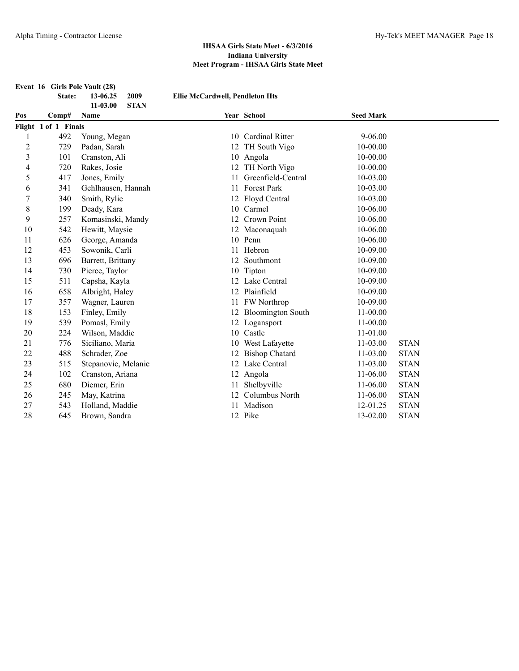|                         | Event 16 Girls Pole Vault (28) |                                 |                                        |                       |                  |             |
|-------------------------|--------------------------------|---------------------------------|----------------------------------------|-----------------------|------------------|-------------|
|                         | State:                         | 2009<br>13-06.25                | <b>Ellie McCardwell, Pendleton Hts</b> |                       |                  |             |
| Pos                     | Comp#                          | 11-03.00<br><b>STAN</b><br>Name |                                        | Year School           | <b>Seed Mark</b> |             |
|                         | Flight 1 of 1 Finals           |                                 |                                        |                       |                  |             |
| 1                       | 492                            | Young, Megan                    |                                        | 10 Cardinal Ritter    | $9 - 06.00$      |             |
| $\overline{c}$          | 729                            | Padan, Sarah                    |                                        | 12 TH South Vigo      | $10 - 00.00$     |             |
| $\overline{\mathbf{3}}$ | 101                            | Cranston, Ali                   |                                        | 10 Angola             | $10 - 00.00$     |             |
| 4                       | 720                            | Rakes, Josie                    |                                        | 12 TH North Vigo      | $10 - 00.00$     |             |
| 5                       | 417                            | Jones, Emily                    | 11                                     | Greenfield-Central    | $10 - 03.00$     |             |
| 6                       | 341                            | Gehlhausen, Hannah              |                                        | 11 Forest Park        | 10-03.00         |             |
| $\boldsymbol{7}$        | 340                            | Smith, Rylie                    |                                        | 12 Floyd Central      | 10-03.00         |             |
| $\,$ 8 $\,$             | 199                            | Deady, Kara                     |                                        | 10 Carmel             | 10-06.00         |             |
| 9                       | 257                            | Komasinski, Mandy               |                                        | 12 Crown Point        | 10-06.00         |             |
| 10                      | 542                            | Hewitt, Maysie                  |                                        | 12 Maconaquah         | 10-06.00         |             |
| 11                      | 626                            | George, Amanda                  |                                        | 10 Penn               | 10-06.00         |             |
| 12                      | 453                            | Sowonik, Carli                  |                                        | 11 Hebron             | 10-09.00         |             |
| 13                      | 696                            | Barrett, Brittany               | 12                                     | Southmont             | 10-09.00         |             |
| 14                      | 730                            | Pierce, Taylor                  |                                        | 10 Tipton             | 10-09.00         |             |
| 15                      | 511                            | Capsha, Kayla                   |                                        | 12 Lake Central       | 10-09.00         |             |
| 16                      | 658                            | Albright, Haley                 |                                        | 12 Plainfield         | 10-09.00         |             |
| 17                      | 357                            | Wagner, Lauren                  |                                        | 11 FW Northrop        | 10-09.00         |             |
| 18                      | 153                            | Finley, Emily                   |                                        | 12 Bloomington South  | 11-00.00         |             |
| 19                      | 539                            | Pomasl, Emily                   |                                        | 12 Logansport         | 11-00.00         |             |
| 20                      | 224                            | Wilson, Maddie                  |                                        | 10 Castle             | 11-01.00         |             |
| 21                      | 776                            | Siciliano, Maria                |                                        | 10 West Lafayette     | 11-03.00         | <b>STAN</b> |
| 22                      | 488                            | Schrader, Zoe                   | 12                                     | <b>Bishop Chatard</b> | 11-03.00         | <b>STAN</b> |
| 23                      | 515                            | Stepanovic, Melanie             |                                        | 12 Lake Central       | $11 - 03.00$     | <b>STAN</b> |
| 24                      | 102                            | Cranston, Ariana                |                                        | 12 Angola             | $11-06.00$       | <b>STAN</b> |
| 25                      | 680                            | Diemer, Erin                    | 11                                     | Shelbyville           | $11 - 06.00$     | <b>STAN</b> |
| 26                      | 245                            | May, Katrina                    | 12                                     | Columbus North        | $11 - 06.00$     | <b>STAN</b> |
| 27                      | 543                            | Holland, Maddie                 | 11                                     | Madison               | 12-01.25         | <b>STAN</b> |
| 28                      | 645                            | Brown, Sandra                   |                                        | 12 Pike               | 13-02.00         | <b>STAN</b> |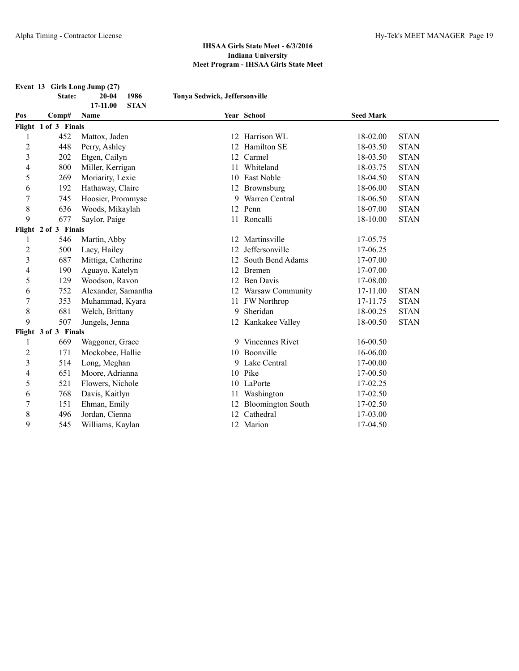|                         | Event 13 Girls Long Jump (27) |                         |                               |                      |                  |             |  |  |
|-------------------------|-------------------------------|-------------------------|-------------------------------|----------------------|------------------|-------------|--|--|
|                         | State:                        | 1986<br>$20 - 04$       | Tonya Sedwick, Jeffersonville |                      |                  |             |  |  |
|                         |                               | <b>STAN</b><br>17-11.00 |                               |                      |                  |             |  |  |
| Pos                     | Comp#                         | Name                    |                               | Year School          | <b>Seed Mark</b> |             |  |  |
|                         | Flight 1 of 3 Finals          |                         |                               |                      |                  |             |  |  |
|                         | 452                           | Mattox, Jaden           |                               | 12 Harrison WL       | 18-02.00         | <b>STAN</b> |  |  |
| $\overline{c}$          | 448                           | Perry, Ashley           | 12                            | Hamilton SE          | 18-03.50         | <b>STAN</b> |  |  |
| $\overline{\mathbf{3}}$ | 202                           | Etgen, Cailyn           |                               | 12 Carmel            | 18-03.50         | <b>STAN</b> |  |  |
| 4                       | 800                           | Miller, Kerrigan        | 11                            | Whiteland            | 18-03.75         | <b>STAN</b> |  |  |
| 5                       | 269                           | Moriarity, Lexie        |                               | 10 East Noble        | 18-04.50         | <b>STAN</b> |  |  |
| 6                       | 192                           | Hathaway, Claire        |                               | 12 Brownsburg        | 18-06.00         | <b>STAN</b> |  |  |
| $\boldsymbol{7}$        | 745                           | Hoosier, Prommyse       |                               | 9 Warren Central     | 18-06.50         | <b>STAN</b> |  |  |
| $\,$ 8 $\,$             | 636                           | Woods, Mikaylah         |                               | 12 Penn              | 18-07.00         | <b>STAN</b> |  |  |
| 9                       | 677                           | Saylor, Paige           |                               | 11 Roncalli          | 18-10.00         | <b>STAN</b> |  |  |
|                         | Flight 2 of 3 Finals          |                         |                               |                      |                  |             |  |  |
| 1                       | 546                           | Martin, Abby            |                               | 12 Martinsville      | 17-05.75         |             |  |  |
| $\overline{c}$          | 500                           | Lacy, Hailey            |                               | 12 Jeffersonville    | 17-06.25         |             |  |  |
| 3                       | 687                           | Mittiga, Catherine      |                               | 12 South Bend Adams  | 17-07.00         |             |  |  |
| 4                       | 190                           | Aguayo, Katelyn         |                               | 12 Bremen            | 17-07.00         |             |  |  |
| 5                       | 129                           | Woodson, Ravon          |                               | 12 Ben Davis         | 17-08.00         |             |  |  |
| 6                       | 752                           | Alexander, Samantha     |                               | 12 Warsaw Community  | 17-11.00         | <b>STAN</b> |  |  |
| 7                       | 353                           | Muhammad, Kyara         |                               | 11 FW Northrop       | 17-11.75         | <b>STAN</b> |  |  |
| $\,$ 8 $\,$             | 681                           | Welch, Brittany         |                               | 9 Sheridan           | 18-00.25         | <b>STAN</b> |  |  |
| 9                       | 507                           | Jungels, Jenna          |                               | 12 Kankakee Valley   | 18-00.50         | <b>STAN</b> |  |  |
|                         | Flight 3 of 3 Finals          |                         |                               |                      |                  |             |  |  |
| 1                       | 669                           | Waggoner, Grace         |                               | 9 Vincennes Rivet    | 16-00.50         |             |  |  |
| $\overline{c}$          | 171                           | Mockobee, Hallie        |                               | 10 Boonville         | 16-06.00         |             |  |  |
| $\mathfrak{Z}$          | 514                           | Long, Meghan            |                               | 9 Lake Central       | 17-00.00         |             |  |  |
| 4                       | 651                           | Moore, Adrianna         |                               | 10 Pike              | 17-00.50         |             |  |  |
| 5                       | 521                           | Flowers, Nichole        |                               | 10 LaPorte           | 17-02.25         |             |  |  |
| 6                       | 768                           | Davis, Kaitlyn          |                               | 11 Washington        | 17-02.50         |             |  |  |
| 7                       | 151                           | Ehman, Emily            |                               | 12 Bloomington South | 17-02.50         |             |  |  |
| 8                       | 496                           | Jordan, Cienna          |                               | 12 Cathedral         | 17-03.00         |             |  |  |
| 9                       | 545                           | Williams, Kaylan        |                               | 12 Marion            | 17-04.50         |             |  |  |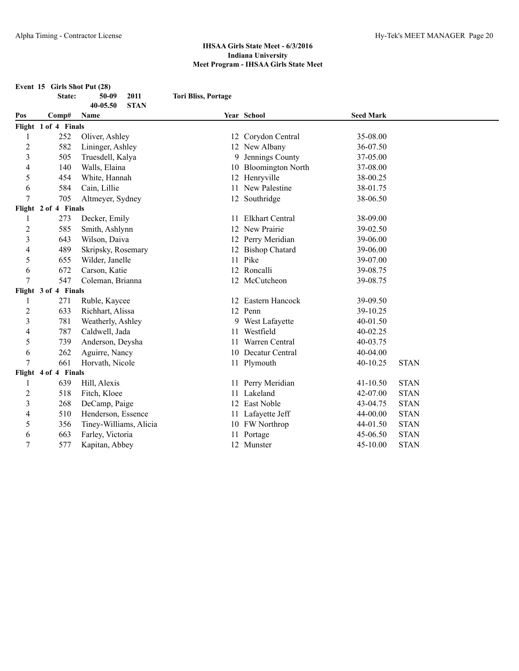|                | Event 15 Girls Shot Put (28) |                             |                            |                        |                  |             |  |
|----------------|------------------------------|-----------------------------|----------------------------|------------------------|------------------|-------------|--|
|                | State:                       | 2011<br>50-09               | <b>Tori Bliss, Portage</b> |                        |                  |             |  |
|                |                              | <b>STAN</b><br>$40 - 05.50$ |                            |                        |                  |             |  |
| Pos            | Comp#                        | <b>Name</b>                 |                            | Year School            | <b>Seed Mark</b> |             |  |
|                | Flight 1 of 4 Finals         |                             |                            |                        |                  |             |  |
| 1              | 252                          | Oliver, Ashley              |                            | 12 Corydon Central     | 35-08.00         |             |  |
| $\overline{2}$ | 582                          | Lininger, Ashley            |                            | 12 New Albany          | 36-07.50         |             |  |
| 3              | 505                          | Truesdell, Kalya            |                            | 9 Jennings County      | 37-05.00         |             |  |
| 4              | 140                          | Walls, Elaina               |                            | 10 Bloomington North   | 37-08.00         |             |  |
| 5              | 454                          | White, Hannah               |                            | 12 Henryville          | 38-00.25         |             |  |
| 6              | 584                          | Cain, Lillie                |                            | 11 New Palestine       | 38-01.75         |             |  |
| 7              | 705                          | Altmeyer, Sydney            |                            | 12 Southridge          | 38-06.50         |             |  |
|                | Flight 2 of 4 Finals         |                             |                            |                        |                  |             |  |
| 1              | 273                          | Decker, Emily               | 11.                        | <b>Elkhart Central</b> | 38-09.00         |             |  |
| $\overline{c}$ | 585                          | Smith, Ashlynn              |                            | 12 New Prairie         | 39-02.50         |             |  |
| 3              | 643                          | Wilson, Daiva               |                            | 12 Perry Meridian      | 39-06.00         |             |  |
| 4              | 489                          | Skripsky, Rosemary          |                            | 12 Bishop Chatard      | 39-06.00         |             |  |
| 5              | 655                          | Wilder, Janelle             |                            | 11 Pike                | 39-07.00         |             |  |
| 6              | 672                          | Carson, Katie               |                            | 12 Roncalli            | 39-08.75         |             |  |
| 7              | 547                          | Coleman, Brianna            |                            | 12 McCutcheon          | 39-08.75         |             |  |
|                | Flight 3 of 4 Finals         |                             |                            |                        |                  |             |  |
| 1              | 271                          | Ruble, Kaycee               |                            | 12 Eastern Hancock     | 39-09.50         |             |  |
| $\overline{c}$ | 633                          | Richhart, Alissa            |                            | 12 Penn                | 39-10.25         |             |  |
| 3              | 781                          | Weatherly, Ashley           |                            | 9 West Lafayette       | 40-01.50         |             |  |
| 4              | 787                          | Caldwell, Jada              |                            | 11 Westfield           | 40-02.25         |             |  |
| 5              | 739                          | Anderson, Deysha            |                            | 11 Warren Central      | 40-03.75         |             |  |
| 6              | 262                          | Aguirre, Nancy              |                            | 10 Decatur Central     | 40-04.00         |             |  |
| 7              | 661                          | Horvath, Nicole             |                            | 11 Plymouth            | 40-10.25         | <b>STAN</b> |  |
|                | Flight 4 of 4 Finals         |                             |                            |                        |                  |             |  |
| 1              | 639                          | Hill, Alexis                |                            | 11 Perry Meridian      | $41 - 10.50$     | <b>STAN</b> |  |
| 2              | 518                          | Fitch, Kloee                |                            | 11 Lakeland            | 42-07.00         | <b>STAN</b> |  |
| 3              | 268                          | DeCamp, Paige               |                            | 12 East Noble          | 43-04.75         | <b>STAN</b> |  |
| 4              | 510                          | Henderson, Essence          |                            | 11 Lafayette Jeff      | 44-00.00         | <b>STAN</b> |  |
| 5              | 356                          | Tiney-Williams, Alicia      |                            | 10 FW Northrop         | 44-01.50         | <b>STAN</b> |  |
| 6              | 663                          | Farley, Victoria            |                            | 11 Portage             | 45-06.50         | <b>STAN</b> |  |
| 7              | 577                          | Kapitan, Abbey              |                            | 12 Munster             | 45-10.00         | <b>STAN</b> |  |